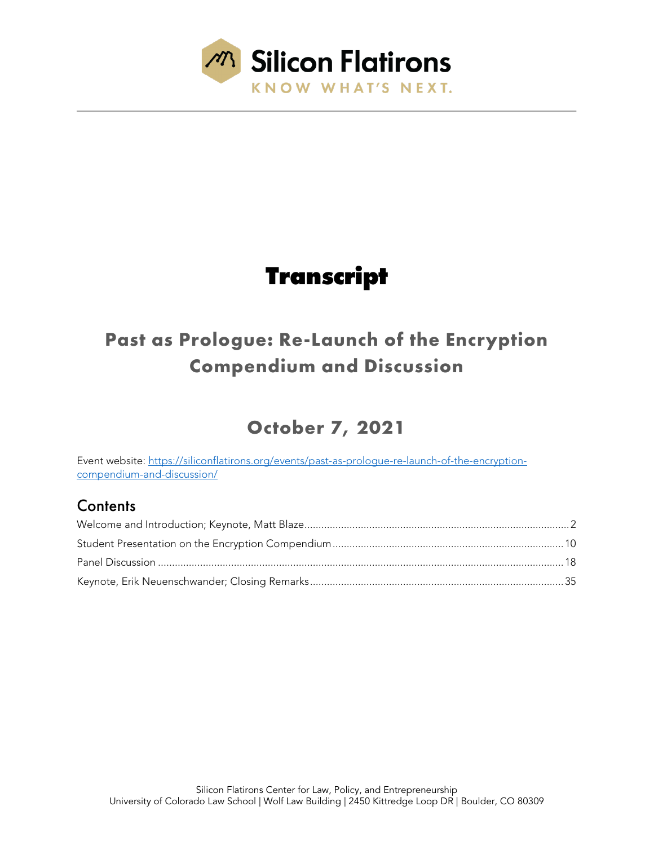

# **Transcript**

# **Past as Prologue: Re-Launch of the Encryption Compendium and Discussion**

# **October 7, 2021**

Event website: [https://siliconflatirons.org/events/past-as-prologue-re-launch-of-the-encryption](https://siliconflatirons.org/events/past-as-prologue-re-launch-of-the-encryption-compendium-and-discussion/)[compendium-and-discussion/](https://siliconflatirons.org/events/past-as-prologue-re-launch-of-the-encryption-compendium-and-discussion/)

# **Contents**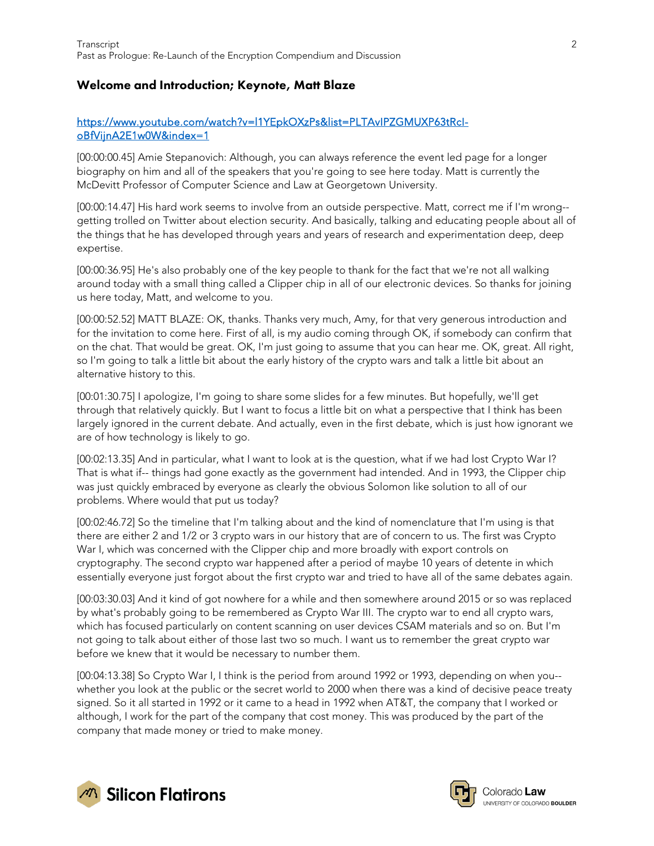# <span id="page-1-0"></span>Welcome and Introduction; Keynote, Matt Blaze

## [https://www.youtube.com/watch?v=l1YEpkOXzPs&list=PLTAvIPZGMUXP63tRcI](https://www.youtube.com/watch?v=l1YEpkOXzPs&list=PLTAvIPZGMUXP63tRcI-oBfVijnA2E1w0W&index=1)[oBfVijnA2E1w0W&index=1](https://www.youtube.com/watch?v=l1YEpkOXzPs&list=PLTAvIPZGMUXP63tRcI-oBfVijnA2E1w0W&index=1)

[00:00:00.45] Amie Stepanovich: Although, you can always reference the event led page for a longer biography on him and all of the speakers that you're going to see here today. Matt is currently the McDevitt Professor of Computer Science and Law at Georgetown University.

[00:00:14.47] His hard work seems to involve from an outside perspective. Matt, correct me if I'm wrong- getting trolled on Twitter about election security. And basically, talking and educating people about all of the things that he has developed through years and years of research and experimentation deep, deep expertise.

[00:00:36.95] He's also probably one of the key people to thank for the fact that we're not all walking around today with a small thing called a Clipper chip in all of our electronic devices. So thanks for joining us here today, Matt, and welcome to you.

[00:00:52.52] MATT BLAZE: OK, thanks. Thanks very much, Amy, for that very generous introduction and for the invitation to come here. First of all, is my audio coming through OK, if somebody can confirm that on the chat. That would be great. OK, I'm just going to assume that you can hear me. OK, great. All right, so I'm going to talk a little bit about the early history of the crypto wars and talk a little bit about an alternative history to this.

[00:01:30.75] I apologize, I'm going to share some slides for a few minutes. But hopefully, we'll get through that relatively quickly. But I want to focus a little bit on what a perspective that I think has been largely ignored in the current debate. And actually, even in the first debate, which is just how ignorant we are of how technology is likely to go.

[00:02:13.35] And in particular, what I want to look at is the question, what if we had lost Crypto War I? That is what if-- things had gone exactly as the government had intended. And in 1993, the Clipper chip was just quickly embraced by everyone as clearly the obvious Solomon like solution to all of our problems. Where would that put us today?

[00:02:46.72] So the timeline that I'm talking about and the kind of nomenclature that I'm using is that there are either 2 and 1/2 or 3 crypto wars in our history that are of concern to us. The first was Crypto War I, which was concerned with the Clipper chip and more broadly with export controls on cryptography. The second crypto war happened after a period of maybe 10 years of detente in which essentially everyone just forgot about the first crypto war and tried to have all of the same debates again.

[00:03:30.03] And it kind of got nowhere for a while and then somewhere around 2015 or so was replaced by what's probably going to be remembered as Crypto War III. The crypto war to end all crypto wars, which has focused particularly on content scanning on user devices CSAM materials and so on. But I'm not going to talk about either of those last two so much. I want us to remember the great crypto war before we knew that it would be necessary to number them.

[00:04:13.38] So Crypto War I, I think is the period from around 1992 or 1993, depending on when you- whether you look at the public or the secret world to 2000 when there was a kind of decisive peace treaty signed. So it all started in 1992 or it came to a head in 1992 when AT&T, the company that I worked or although, I work for the part of the company that cost money. This was produced by the part of the company that made money or tried to make money.

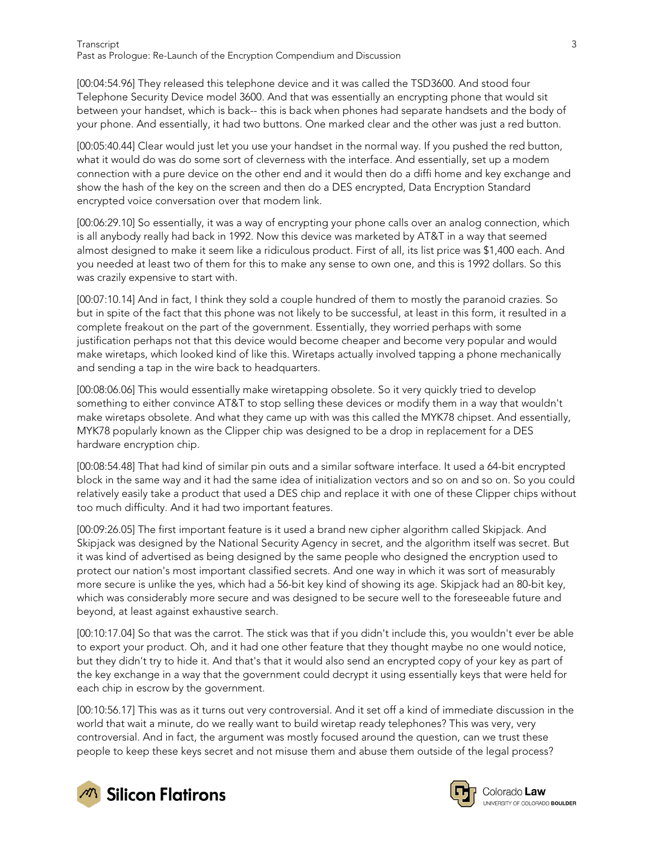[00:04:54.96] They released this telephone device and it was called the TSD3600. And stood four Telephone Security Device model 3600. And that was essentially an encrypting phone that would sit between your handset, which is back-- this is back when phones had separate handsets and the body of your phone. And essentially, it had two buttons. One marked clear and the other was just a red button.

[00:05:40.44] Clear would just let you use your handset in the normal way. If you pushed the red button, what it would do was do some sort of cleverness with the interface. And essentially, set up a modem connection with a pure device on the other end and it would then do a diffi home and key exchange and show the hash of the key on the screen and then do a DES encrypted, Data Encryption Standard encrypted voice conversation over that modem link.

[00:06:29.10] So essentially, it was a way of encrypting your phone calls over an analog connection, which is all anybody really had back in 1992. Now this device was marketed by AT&T in a way that seemed almost designed to make it seem like a ridiculous product. First of all, its list price was \$1,400 each. And you needed at least two of them for this to make any sense to own one, and this is 1992 dollars. So this was crazily expensive to start with.

[00:07:10.14] And in fact, I think they sold a couple hundred of them to mostly the paranoid crazies. So but in spite of the fact that this phone was not likely to be successful, at least in this form, it resulted in a complete freakout on the part of the government. Essentially, they worried perhaps with some justification perhaps not that this device would become cheaper and become very popular and would make wiretaps, which looked kind of like this. Wiretaps actually involved tapping a phone mechanically and sending a tap in the wire back to headquarters.

[00:08:06.06] This would essentially make wiretapping obsolete. So it very quickly tried to develop something to either convince AT&T to stop selling these devices or modify them in a way that wouldn't make wiretaps obsolete. And what they came up with was this called the MYK78 chipset. And essentially, MYK78 popularly known as the Clipper chip was designed to be a drop in replacement for a DES hardware encryption chip.

[00:08:54.48] That had kind of similar pin outs and a similar software interface. It used a 64-bit encrypted block in the same way and it had the same idea of initialization vectors and so on and so on. So you could relatively easily take a product that used a DES chip and replace it with one of these Clipper chips without too much difficulty. And it had two important features.

[00:09:26.05] The first important feature is it used a brand new cipher algorithm called Skipjack. And Skipjack was designed by the National Security Agency in secret, and the algorithm itself was secret. But it was kind of advertised as being designed by the same people who designed the encryption used to protect our nation's most important classified secrets. And one way in which it was sort of measurably more secure is unlike the yes, which had a 56-bit key kind of showing its age. Skipjack had an 80-bit key, which was considerably more secure and was designed to be secure well to the foreseeable future and beyond, at least against exhaustive search.

[00:10:17.04] So that was the carrot. The stick was that if you didn't include this, you wouldn't ever be able to export your product. Oh, and it had one other feature that they thought maybe no one would notice, but they didn't try to hide it. And that's that it would also send an encrypted copy of your key as part of the key exchange in a way that the government could decrypt it using essentially keys that were held for each chip in escrow by the government.

[00:10:56.17] This was as it turns out very controversial. And it set off a kind of immediate discussion in the world that wait a minute, do we really want to build wiretap ready telephones? This was very, very controversial. And in fact, the argument was mostly focused around the question, can we trust these people to keep these keys secret and not misuse them and abuse them outside of the legal process?



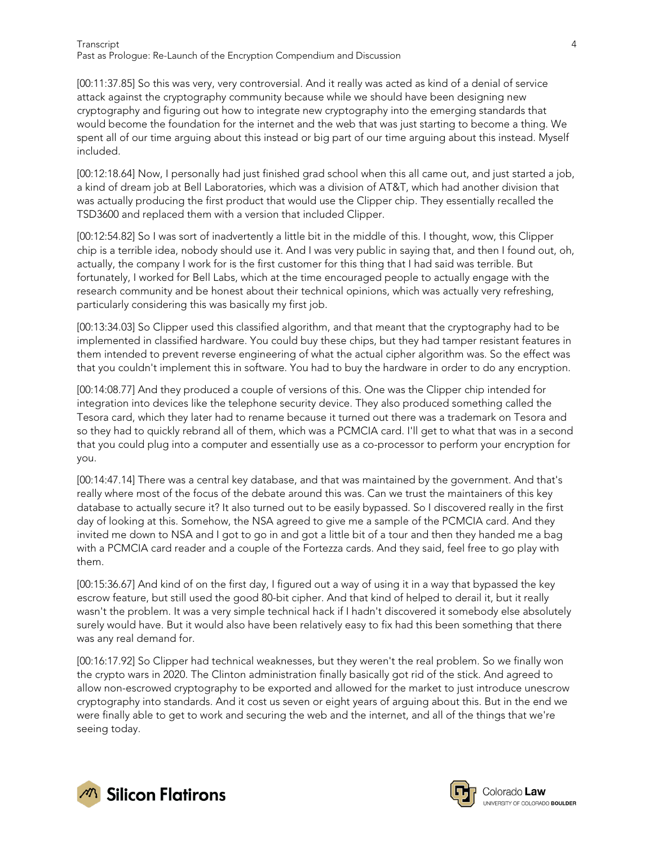[00:11:37.85] So this was very, very controversial. And it really was acted as kind of a denial of service attack against the cryptography community because while we should have been designing new cryptography and figuring out how to integrate new cryptography into the emerging standards that would become the foundation for the internet and the web that was just starting to become a thing. We spent all of our time arguing about this instead or big part of our time arguing about this instead. Myself included.

[00:12:18.64] Now, I personally had just finished grad school when this all came out, and just started a job, a kind of dream job at Bell Laboratories, which was a division of AT&T, which had another division that was actually producing the first product that would use the Clipper chip. They essentially recalled the TSD3600 and replaced them with a version that included Clipper.

[00:12:54.82] So I was sort of inadvertently a little bit in the middle of this. I thought, wow, this Clipper chip is a terrible idea, nobody should use it. And I was very public in saying that, and then I found out, oh, actually, the company I work for is the first customer for this thing that I had said was terrible. But fortunately, I worked for Bell Labs, which at the time encouraged people to actually engage with the research community and be honest about their technical opinions, which was actually very refreshing, particularly considering this was basically my first job.

[00:13:34.03] So Clipper used this classified algorithm, and that meant that the cryptography had to be implemented in classified hardware. You could buy these chips, but they had tamper resistant features in them intended to prevent reverse engineering of what the actual cipher algorithm was. So the effect was that you couldn't implement this in software. You had to buy the hardware in order to do any encryption.

[00:14:08.77] And they produced a couple of versions of this. One was the Clipper chip intended for integration into devices like the telephone security device. They also produced something called the Tesora card, which they later had to rename because it turned out there was a trademark on Tesora and so they had to quickly rebrand all of them, which was a PCMCIA card. I'll get to what that was in a second that you could plug into a computer and essentially use as a co-processor to perform your encryption for you.

[00:14:47.14] There was a central key database, and that was maintained by the government. And that's really where most of the focus of the debate around this was. Can we trust the maintainers of this key database to actually secure it? It also turned out to be easily bypassed. So I discovered really in the first day of looking at this. Somehow, the NSA agreed to give me a sample of the PCMCIA card. And they invited me down to NSA and I got to go in and got a little bit of a tour and then they handed me a bag with a PCMCIA card reader and a couple of the Fortezza cards. And they said, feel free to go play with them.

[00:15:36.67] And kind of on the first day, I figured out a way of using it in a way that bypassed the key escrow feature, but still used the good 80-bit cipher. And that kind of helped to derail it, but it really wasn't the problem. It was a very simple technical hack if I hadn't discovered it somebody else absolutely surely would have. But it would also have been relatively easy to fix had this been something that there was any real demand for.

[00:16:17.92] So Clipper had technical weaknesses, but they weren't the real problem. So we finally won the crypto wars in 2020. The Clinton administration finally basically got rid of the stick. And agreed to allow non-escrowed cryptography to be exported and allowed for the market to just introduce unescrow cryptography into standards. And it cost us seven or eight years of arguing about this. But in the end we were finally able to get to work and securing the web and the internet, and all of the things that we're seeing today.



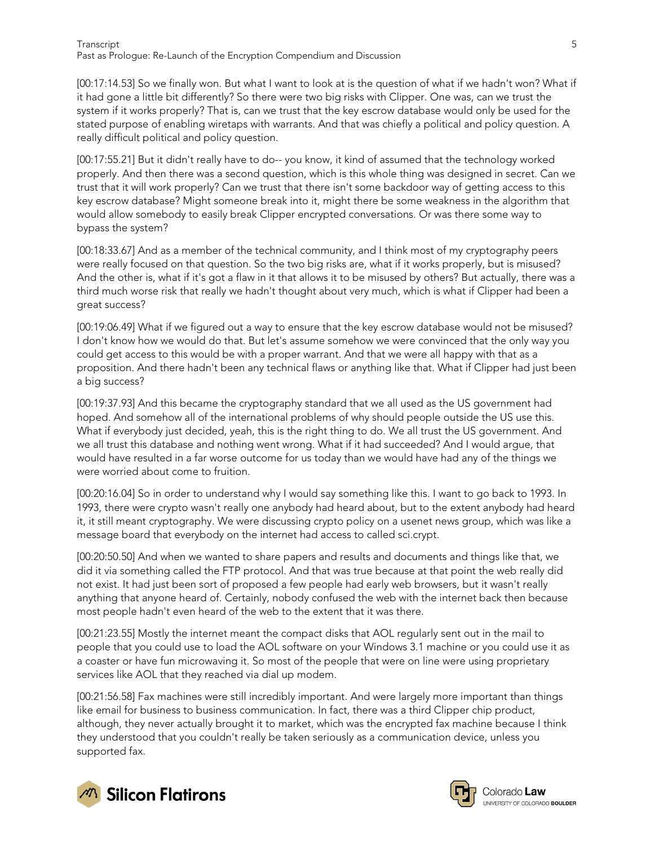#### Transcript 5 Past as Prologue: Re-Launch of the Encryption Compendium and Discussion

[00:17:14.53] So we finally won. But what I want to look at is the question of what if we hadn't won? What if it had gone a little bit differently? So there were two big risks with Clipper. One was, can we trust the system if it works properly? That is, can we trust that the key escrow database would only be used for the stated purpose of enabling wiretaps with warrants. And that was chiefly a political and policy question. A really difficult political and policy question.

[00:17:55.21] But it didn't really have to do-- you know, it kind of assumed that the technology worked properly. And then there was a second question, which is this whole thing was designed in secret. Can we trust that it will work properly? Can we trust that there isn't some backdoor way of getting access to this key escrow database? Might someone break into it, might there be some weakness in the algorithm that would allow somebody to easily break Clipper encrypted conversations. Or was there some way to bypass the system?

[00:18:33.67] And as a member of the technical community, and I think most of my cryptography peers were really focused on that question. So the two big risks are, what if it works properly, but is misused? And the other is, what if it's got a flaw in it that allows it to be misused by others? But actually, there was a third much worse risk that really we hadn't thought about very much, which is what if Clipper had been a great success?

[00:19:06.49] What if we figured out a way to ensure that the key escrow database would not be misused? I don't know how we would do that. But let's assume somehow we were convinced that the only way you could get access to this would be with a proper warrant. And that we were all happy with that as a proposition. And there hadn't been any technical flaws or anything like that. What if Clipper had just been a big success?

[00:19:37.93] And this became the cryptography standard that we all used as the US government had hoped. And somehow all of the international problems of why should people outside the US use this. What if everybody just decided, yeah, this is the right thing to do. We all trust the US government. And we all trust this database and nothing went wrong. What if it had succeeded? And I would argue, that would have resulted in a far worse outcome for us today than we would have had any of the things we were worried about come to fruition.

[00:20:16.04] So in order to understand why I would say something like this. I want to go back to 1993. In 1993, there were crypto wasn't really one anybody had heard about, but to the extent anybody had heard it, it still meant cryptography. We were discussing crypto policy on a usenet news group, which was like a message board that everybody on the internet had access to called sci.crypt.

[00:20:50.50] And when we wanted to share papers and results and documents and things like that, we did it via something called the FTP protocol. And that was true because at that point the web really did not exist. It had just been sort of proposed a few people had early web browsers, but it wasn't really anything that anyone heard of. Certainly, nobody confused the web with the internet back then because most people hadn't even heard of the web to the extent that it was there.

[00:21:23.55] Mostly the internet meant the compact disks that AOL regularly sent out in the mail to people that you could use to load the AOL software on your Windows 3.1 machine or you could use it as a coaster or have fun microwaving it. So most of the people that were on line were using proprietary services like AOL that they reached via dial up modem.

[00:21:56.58] Fax machines were still incredibly important. And were largely more important than things like email for business to business communication. In fact, there was a third Clipper chip product, although, they never actually brought it to market, which was the encrypted fax machine because I think they understood that you couldn't really be taken seriously as a communication device, unless you supported fax.



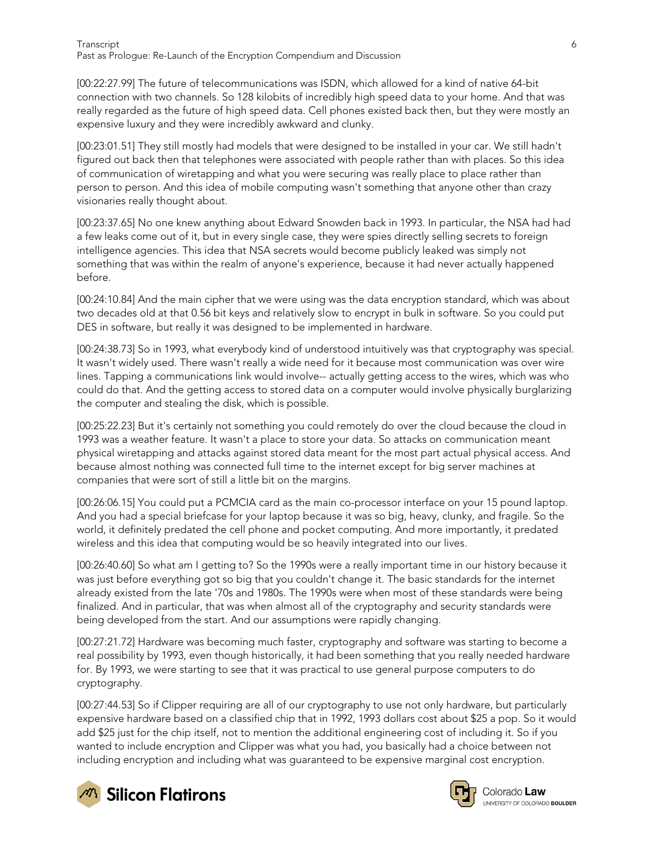[00:22:27.99] The future of telecommunications was ISDN, which allowed for a kind of native 64-bit connection with two channels. So 128 kilobits of incredibly high speed data to your home. And that was really regarded as the future of high speed data. Cell phones existed back then, but they were mostly an expensive luxury and they were incredibly awkward and clunky.

[00:23:01.51] They still mostly had models that were designed to be installed in your car. We still hadn't figured out back then that telephones were associated with people rather than with places. So this idea of communication of wiretapping and what you were securing was really place to place rather than person to person. And this idea of mobile computing wasn't something that anyone other than crazy visionaries really thought about.

[00:23:37.65] No one knew anything about Edward Snowden back in 1993. In particular, the NSA had had a few leaks come out of it, but in every single case, they were spies directly selling secrets to foreign intelligence agencies. This idea that NSA secrets would become publicly leaked was simply not something that was within the realm of anyone's experience, because it had never actually happened before.

[00:24:10.84] And the main cipher that we were using was the data encryption standard, which was about two decades old at that 0.56 bit keys and relatively slow to encrypt in bulk in software. So you could put DES in software, but really it was designed to be implemented in hardware.

[00:24:38.73] So in 1993, what everybody kind of understood intuitively was that cryptography was special. It wasn't widely used. There wasn't really a wide need for it because most communication was over wire lines. Tapping a communications link would involve-- actually getting access to the wires, which was who could do that. And the getting access to stored data on a computer would involve physically burglarizing the computer and stealing the disk, which is possible.

[00:25:22.23] But it's certainly not something you could remotely do over the cloud because the cloud in 1993 was a weather feature. It wasn't a place to store your data. So attacks on communication meant physical wiretapping and attacks against stored data meant for the most part actual physical access. And because almost nothing was connected full time to the internet except for big server machines at companies that were sort of still a little bit on the margins.

[00:26:06.15] You could put a PCMCIA card as the main co-processor interface on your 15 pound laptop. And you had a special briefcase for your laptop because it was so big, heavy, clunky, and fragile. So the world, it definitely predated the cell phone and pocket computing. And more importantly, it predated wireless and this idea that computing would be so heavily integrated into our lives.

[00:26:40.60] So what am I getting to? So the 1990s were a really important time in our history because it was just before everything got so big that you couldn't change it. The basic standards for the internet already existed from the late '70s and 1980s. The 1990s were when most of these standards were being finalized. And in particular, that was when almost all of the cryptography and security standards were being developed from the start. And our assumptions were rapidly changing.

[00:27:21.72] Hardware was becoming much faster, cryptography and software was starting to become a real possibility by 1993, even though historically, it had been something that you really needed hardware for. By 1993, we were starting to see that it was practical to use general purpose computers to do cryptography.

[00:27:44.53] So if Clipper requiring are all of our cryptography to use not only hardware, but particularly expensive hardware based on a classified chip that in 1992, 1993 dollars cost about \$25 a pop. So it would add \$25 just for the chip itself, not to mention the additional engineering cost of including it. So if you wanted to include encryption and Clipper was what you had, you basically had a choice between not including encryption and including what was guaranteed to be expensive marginal cost encryption.



**M** Silicon Flatirons

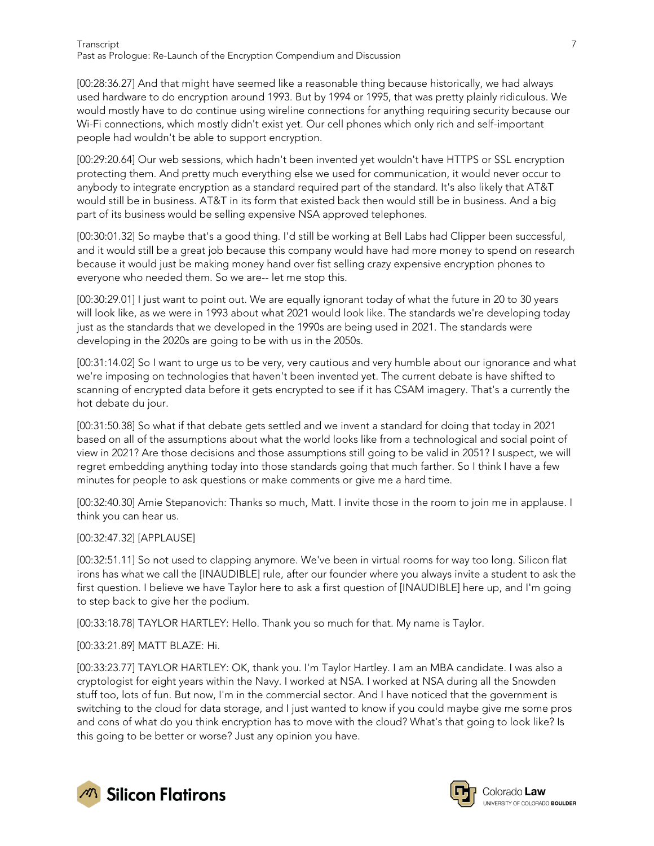### Transcript 7 Past as Prologue: Re-Launch of the Encryption Compendium and Discussion

[00:28:36.27] And that might have seemed like a reasonable thing because historically, we had always used hardware to do encryption around 1993. But by 1994 or 1995, that was pretty plainly ridiculous. We would mostly have to do continue using wireline connections for anything requiring security because our Wi-Fi connections, which mostly didn't exist yet. Our cell phones which only rich and self-important people had wouldn't be able to support encryption.

[00:29:20.64] Our web sessions, which hadn't been invented yet wouldn't have HTTPS or SSL encryption protecting them. And pretty much everything else we used for communication, it would never occur to anybody to integrate encryption as a standard required part of the standard. It's also likely that AT&T would still be in business. AT&T in its form that existed back then would still be in business. And a big part of its business would be selling expensive NSA approved telephones.

[00:30:01.32] So maybe that's a good thing. I'd still be working at Bell Labs had Clipper been successful, and it would still be a great job because this company would have had more money to spend on research because it would just be making money hand over fist selling crazy expensive encryption phones to everyone who needed them. So we are-- let me stop this.

[00:30:29.01] I just want to point out. We are equally ignorant today of what the future in 20 to 30 years will look like, as we were in 1993 about what 2021 would look like. The standards we're developing today just as the standards that we developed in the 1990s are being used in 2021. The standards were developing in the 2020s are going to be with us in the 2050s.

[00:31:14.02] So I want to urge us to be very, very cautious and very humble about our ignorance and what we're imposing on technologies that haven't been invented yet. The current debate is have shifted to scanning of encrypted data before it gets encrypted to see if it has CSAM imagery. That's a currently the hot debate du jour.

[00:31:50.38] So what if that debate gets settled and we invent a standard for doing that today in 2021 based on all of the assumptions about what the world looks like from a technological and social point of view in 2021? Are those decisions and those assumptions still going to be valid in 2051? I suspect, we will regret embedding anything today into those standards going that much farther. So I think I have a few minutes for people to ask questions or make comments or give me a hard time.

[00:32:40.30] Amie Stepanovich: Thanks so much, Matt. I invite those in the room to join me in applause. I think you can hear us.

## [00:32:47.32] [APPLAUSE]

[00:32:51.11] So not used to clapping anymore. We've been in virtual rooms for way too long. Silicon flat irons has what we call the [INAUDIBLE] rule, after our founder where you always invite a student to ask the first question. I believe we have Taylor here to ask a first question of [INAUDIBLE] here up, and I'm going to step back to give her the podium.

[00:33:18.78] TAYLOR HARTLEY: Hello. Thank you so much for that. My name is Taylor.

[00:33:21.89] MATT BLAZE: Hi.

[00:33:23.77] TAYLOR HARTLEY: OK, thank you. I'm Taylor Hartley. I am an MBA candidate. I was also a cryptologist for eight years within the Navy. I worked at NSA. I worked at NSA during all the Snowden stuff too, lots of fun. But now, I'm in the commercial sector. And I have noticed that the government is switching to the cloud for data storage, and I just wanted to know if you could maybe give me some pros and cons of what do you think encryption has to move with the cloud? What's that going to look like? Is this going to be better or worse? Just any opinion you have.



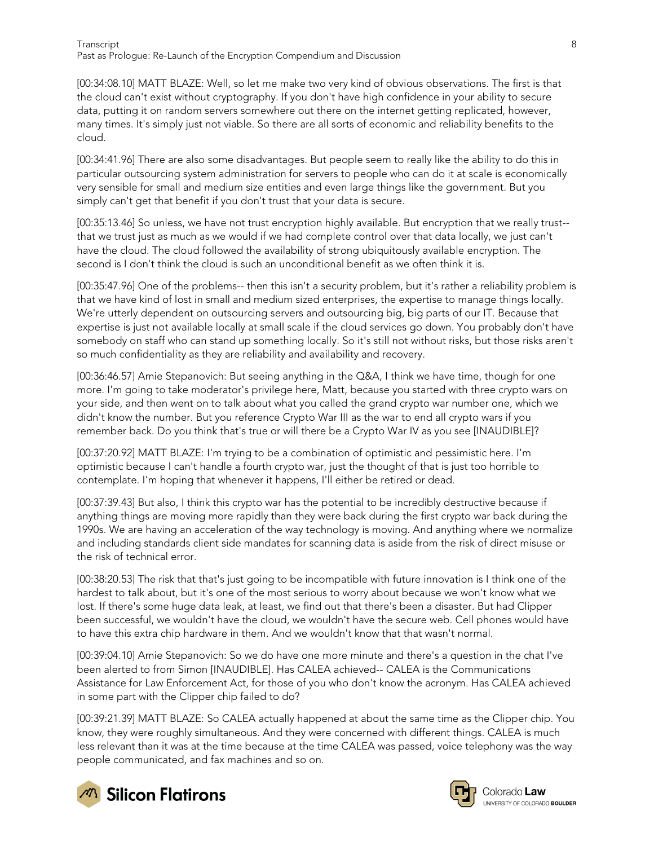[00:34:08.10] MATT BLAZE: Well, so let me make two very kind of obvious observations. The first is that the cloud can't exist without cryptography. If you don't have high confidence in your ability to secure data, putting it on random servers somewhere out there on the internet getting replicated, however, many times. It's simply just not viable. So there are all sorts of economic and reliability benefits to the cloud.

[00:34:41.96] There are also some disadvantages. But people seem to really like the ability to do this in particular outsourcing system administration for servers to people who can do it at scale is economically very sensible for small and medium size entities and even large things like the government. But you simply can't get that benefit if you don't trust that your data is secure.

[00:35:13.46] So unless, we have not trust encryption highly available. But encryption that we really trust- that we trust just as much as we would if we had complete control over that data locally, we just can't have the cloud. The cloud followed the availability of strong ubiquitously available encryption. The second is I don't think the cloud is such an unconditional benefit as we often think it is.

[00:35:47.96] One of the problems-- then this isn't a security problem, but it's rather a reliability problem is that we have kind of lost in small and medium sized enterprises, the expertise to manage things locally. We're utterly dependent on outsourcing servers and outsourcing big, big parts of our IT. Because that expertise is just not available locally at small scale if the cloud services go down. You probably don't have somebody on staff who can stand up something locally. So it's still not without risks, but those risks aren't so much confidentiality as they are reliability and availability and recovery.

[00:36:46.57] Amie Stepanovich: But seeing anything in the Q&A, I think we have time, though for one more. I'm going to take moderator's privilege here, Matt, because you started with three crypto wars on your side, and then went on to talk about what you called the grand crypto war number one, which we didn't know the number. But you reference Crypto War III as the war to end all crypto wars if you remember back. Do you think that's true or will there be a Crypto War IV as you see [INAUDIBLE]?

[00:37:20.92] MATT BLAZE: I'm trying to be a combination of optimistic and pessimistic here. I'm optimistic because I can't handle a fourth crypto war, just the thought of that is just too horrible to contemplate. I'm hoping that whenever it happens, I'll either be retired or dead.

[00:37:39.43] But also, I think this crypto war has the potential to be incredibly destructive because if anything things are moving more rapidly than they were back during the first crypto war back during the 1990s. We are having an acceleration of the way technology is moving. And anything where we normalize and including standards client side mandates for scanning data is aside from the risk of direct misuse or the risk of technical error.

[00:38:20.53] The risk that that's just going to be incompatible with future innovation is I think one of the hardest to talk about, but it's one of the most serious to worry about because we won't know what we lost. If there's some huge data leak, at least, we find out that there's been a disaster. But had Clipper been successful, we wouldn't have the cloud, we wouldn't have the secure web. Cell phones would have to have this extra chip hardware in them. And we wouldn't know that that wasn't normal.

[00:39:04.10] Amie Stepanovich: So we do have one more minute and there's a question in the chat I've been alerted to from Simon [INAUDIBLE]. Has CALEA achieved-- CALEA is the Communications Assistance for Law Enforcement Act, for those of you who don't know the acronym. Has CALEA achieved in some part with the Clipper chip failed to do?

[00:39:21.39] MATT BLAZE: So CALEA actually happened at about the same time as the Clipper chip. You know, they were roughly simultaneous. And they were concerned with different things. CALEA is much less relevant than it was at the time because at the time CALEA was passed, voice telephony was the way people communicated, and fax machines and so on.



**M** Silicon Flatirons

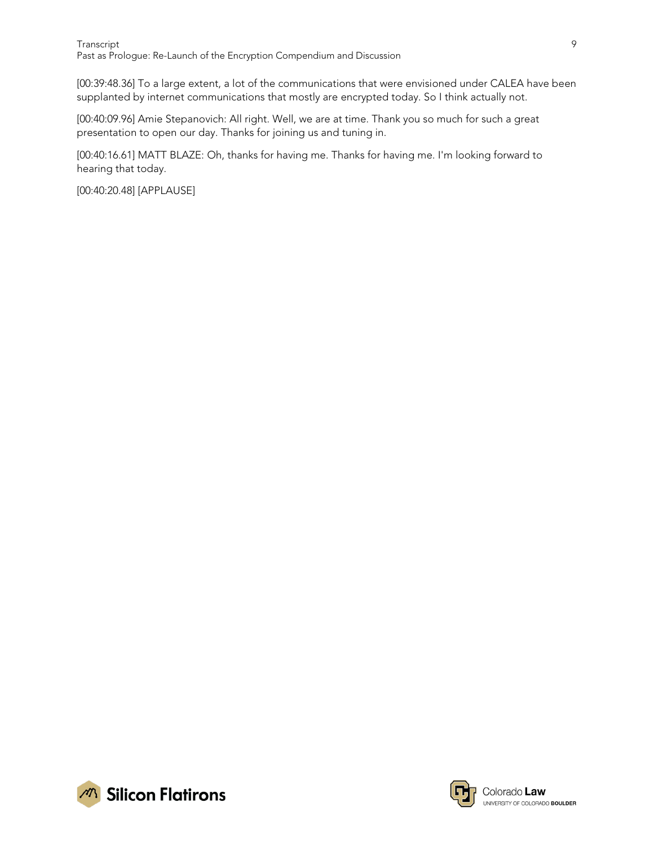[00:39:48.36] To a large extent, a lot of the communications that were envisioned under CALEA have been supplanted by internet communications that mostly are encrypted today. So I think actually not.

[00:40:09.96] Amie Stepanovich: All right. Well, we are at time. Thank you so much for such a great presentation to open our day. Thanks for joining us and tuning in.

[00:40:16.61] MATT BLAZE: Oh, thanks for having me. Thanks for having me. I'm looking forward to hearing that today.

[00:40:20.48] [APPLAUSE]



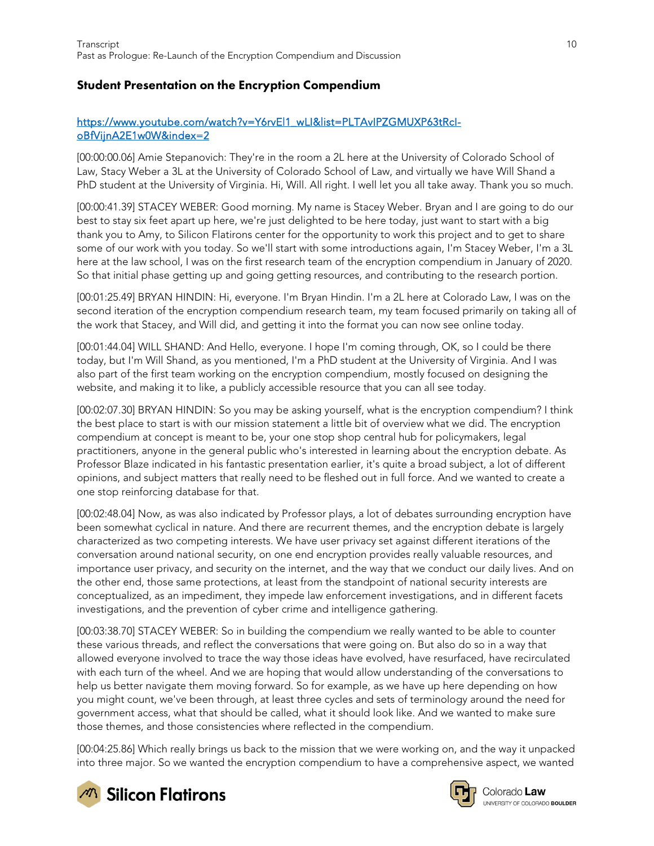# <span id="page-9-0"></span>Student Presentation on the Encryption Compendium

# https://www.youtube.com/watch?v=Y6rvEl1\_wLI&list=PLTAvIPZGMUXP63tRcl[oBfVijnA2E1w0W&index=2](https://www.youtube.com/watch?v=Y6rvEl1_wLI&list=PLTAvIPZGMUXP63tRcI-oBfVijnA2E1w0W&index=2)

[00:00:00.06] Amie Stepanovich: They're in the room a 2L here at the University of Colorado School of Law, Stacy Weber a 3L at the University of Colorado School of Law, and virtually we have Will Shand a PhD student at the University of Virginia. Hi, Will. All right. I well let you all take away. Thank you so much.

[00:00:41.39] STACEY WEBER: Good morning. My name is Stacey Weber. Bryan and I are going to do our best to stay six feet apart up here, we're just delighted to be here today, just want to start with a big thank you to Amy, to Silicon Flatirons center for the opportunity to work this project and to get to share some of our work with you today. So we'll start with some introductions again, I'm Stacey Weber, I'm a 3L here at the law school, I was on the first research team of the encryption compendium in January of 2020. So that initial phase getting up and going getting resources, and contributing to the research portion.

[00:01:25.49] BRYAN HINDIN: Hi, everyone. I'm Bryan Hindin. I'm a 2L here at Colorado Law, I was on the second iteration of the encryption compendium research team, my team focused primarily on taking all of the work that Stacey, and Will did, and getting it into the format you can now see online today.

[00:01:44.04] WILL SHAND: And Hello, everyone. I hope I'm coming through, OK, so I could be there today, but I'm Will Shand, as you mentioned, I'm a PhD student at the University of Virginia. And I was also part of the first team working on the encryption compendium, mostly focused on designing the website, and making it to like, a publicly accessible resource that you can all see today.

[00:02:07.30] BRYAN HINDIN: So you may be asking yourself, what is the encryption compendium? I think the best place to start is with our mission statement a little bit of overview what we did. The encryption compendium at concept is meant to be, your one stop shop central hub for policymakers, legal practitioners, anyone in the general public who's interested in learning about the encryption debate. As Professor Blaze indicated in his fantastic presentation earlier, it's quite a broad subject, a lot of different opinions, and subject matters that really need to be fleshed out in full force. And we wanted to create a one stop reinforcing database for that.

[00:02:48.04] Now, as was also indicated by Professor plays, a lot of debates surrounding encryption have been somewhat cyclical in nature. And there are recurrent themes, and the encryption debate is largely characterized as two competing interests. We have user privacy set against different iterations of the conversation around national security, on one end encryption provides really valuable resources, and importance user privacy, and security on the internet, and the way that we conduct our daily lives. And on the other end, those same protections, at least from the standpoint of national security interests are conceptualized, as an impediment, they impede law enforcement investigations, and in different facets investigations, and the prevention of cyber crime and intelligence gathering.

[00:03:38.70] STACEY WEBER: So in building the compendium we really wanted to be able to counter these various threads, and reflect the conversations that were going on. But also do so in a way that allowed everyone involved to trace the way those ideas have evolved, have resurfaced, have recirculated with each turn of the wheel. And we are hoping that would allow understanding of the conversations to help us better navigate them moving forward. So for example, as we have up here depending on how you might count, we've been through, at least three cycles and sets of terminology around the need for government access, what that should be called, what it should look like. And we wanted to make sure those themes, and those consistencies where reflected in the compendium.

[00:04:25.86] Which really brings us back to the mission that we were working on, and the way it unpacked into three major. So we wanted the encryption compendium to have a comprehensive aspect, we wanted





**UNIVERSITY OF COLOBADO BOULDER**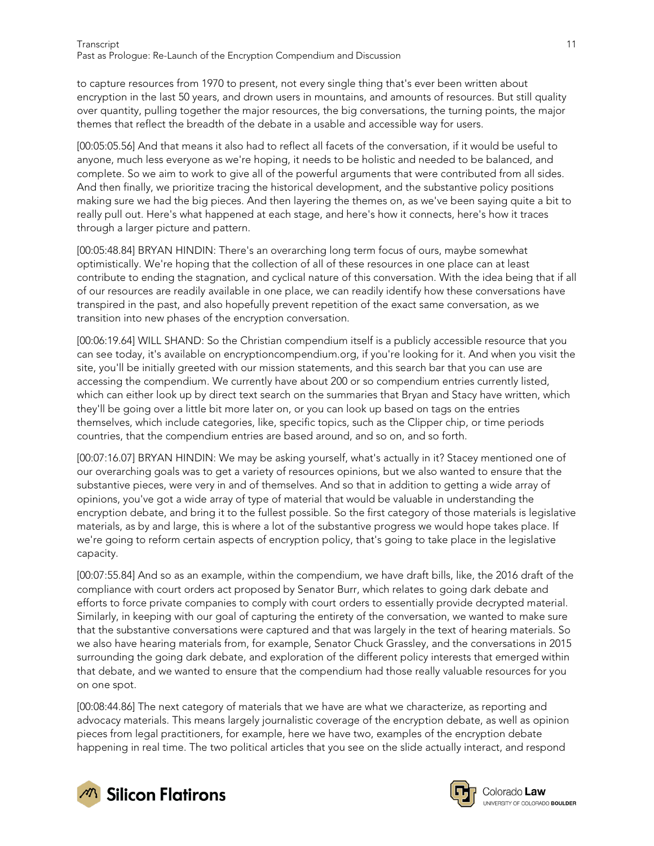to capture resources from 1970 to present, not every single thing that's ever been written about encryption in the last 50 years, and drown users in mountains, and amounts of resources. But still quality over quantity, pulling together the major resources, the big conversations, the turning points, the major themes that reflect the breadth of the debate in a usable and accessible way for users.

[00:05:05.56] And that means it also had to reflect all facets of the conversation, if it would be useful to anyone, much less everyone as we're hoping, it needs to be holistic and needed to be balanced, and complete. So we aim to work to give all of the powerful arguments that were contributed from all sides. And then finally, we prioritize tracing the historical development, and the substantive policy positions making sure we had the big pieces. And then layering the themes on, as we've been saying quite a bit to really pull out. Here's what happened at each stage, and here's how it connects, here's how it traces through a larger picture and pattern.

[00:05:48.84] BRYAN HINDIN: There's an overarching long term focus of ours, maybe somewhat optimistically. We're hoping that the collection of all of these resources in one place can at least contribute to ending the stagnation, and cyclical nature of this conversation. With the idea being that if all of our resources are readily available in one place, we can readily identify how these conversations have transpired in the past, and also hopefully prevent repetition of the exact same conversation, as we transition into new phases of the encryption conversation.

[00:06:19.64] WILL SHAND: So the Christian compendium itself is a publicly accessible resource that you can see today, it's available on encryptioncompendium.org, if you're looking for it. And when you visit the site, you'll be initially greeted with our mission statements, and this search bar that you can use are accessing the compendium. We currently have about 200 or so compendium entries currently listed, which can either look up by direct text search on the summaries that Bryan and Stacy have written, which they'll be going over a little bit more later on, or you can look up based on tags on the entries themselves, which include categories, like, specific topics, such as the Clipper chip, or time periods countries, that the compendium entries are based around, and so on, and so forth.

[00:07:16.07] BRYAN HINDIN: We may be asking yourself, what's actually in it? Stacey mentioned one of our overarching goals was to get a variety of resources opinions, but we also wanted to ensure that the substantive pieces, were very in and of themselves. And so that in addition to getting a wide array of opinions, you've got a wide array of type of material that would be valuable in understanding the encryption debate, and bring it to the fullest possible. So the first category of those materials is legislative materials, as by and large, this is where a lot of the substantive progress we would hope takes place. If we're going to reform certain aspects of encryption policy, that's going to take place in the legislative capacity.

[00:07:55.84] And so as an example, within the compendium, we have draft bills, like, the 2016 draft of the compliance with court orders act proposed by Senator Burr, which relates to going dark debate and efforts to force private companies to comply with court orders to essentially provide decrypted material. Similarly, in keeping with our goal of capturing the entirety of the conversation, we wanted to make sure that the substantive conversations were captured and that was largely in the text of hearing materials. So we also have hearing materials from, for example, Senator Chuck Grassley, and the conversations in 2015 surrounding the going dark debate, and exploration of the different policy interests that emerged within that debate, and we wanted to ensure that the compendium had those really valuable resources for you on one spot.

[00:08:44.86] The next category of materials that we have are what we characterize, as reporting and advocacy materials. This means largely journalistic coverage of the encryption debate, as well as opinion pieces from legal practitioners, for example, here we have two, examples of the encryption debate happening in real time. The two political articles that you see on the slide actually interact, and respond



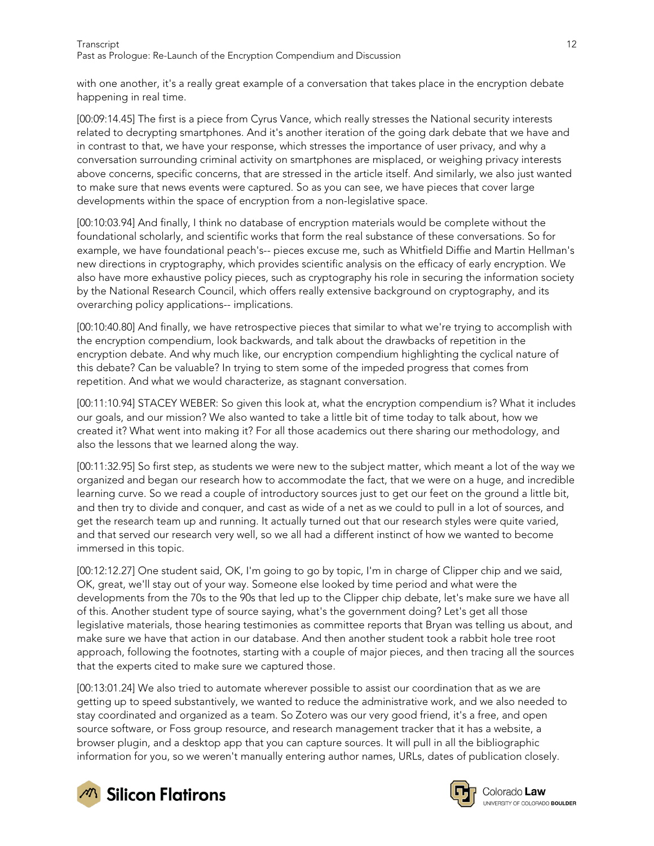with one another, it's a really great example of a conversation that takes place in the encryption debate happening in real time.

[00:09:14.45] The first is a piece from Cyrus Vance, which really stresses the National security interests related to decrypting smartphones. And it's another iteration of the going dark debate that we have and in contrast to that, we have your response, which stresses the importance of user privacy, and why a conversation surrounding criminal activity on smartphones are misplaced, or weighing privacy interests above concerns, specific concerns, that are stressed in the article itself. And similarly, we also just wanted to make sure that news events were captured. So as you can see, we have pieces that cover large developments within the space of encryption from a non-legislative space.

[00:10:03.94] And finally, I think no database of encryption materials would be complete without the foundational scholarly, and scientific works that form the real substance of these conversations. So for example, we have foundational peach's-- pieces excuse me, such as Whitfield Diffie and Martin Hellman's new directions in cryptography, which provides scientific analysis on the efficacy of early encryption. We also have more exhaustive policy pieces, such as cryptography his role in securing the information society by the National Research Council, which offers really extensive background on cryptography, and its overarching policy applications-- implications.

[00:10:40.80] And finally, we have retrospective pieces that similar to what we're trying to accomplish with the encryption compendium, look backwards, and talk about the drawbacks of repetition in the encryption debate. And why much like, our encryption compendium highlighting the cyclical nature of this debate? Can be valuable? In trying to stem some of the impeded progress that comes from repetition. And what we would characterize, as stagnant conversation.

[00:11:10.94] STACEY WEBER: So given this look at, what the encryption compendium is? What it includes our goals, and our mission? We also wanted to take a little bit of time today to talk about, how we created it? What went into making it? For all those academics out there sharing our methodology, and also the lessons that we learned along the way.

[00:11:32.95] So first step, as students we were new to the subject matter, which meant a lot of the way we organized and began our research how to accommodate the fact, that we were on a huge, and incredible learning curve. So we read a couple of introductory sources just to get our feet on the ground a little bit, and then try to divide and conquer, and cast as wide of a net as we could to pull in a lot of sources, and get the research team up and running. It actually turned out that our research styles were quite varied, and that served our research very well, so we all had a different instinct of how we wanted to become immersed in this topic.

[00:12:12.27] One student said, OK, I'm going to go by topic, I'm in charge of Clipper chip and we said, OK, great, we'll stay out of your way. Someone else looked by time period and what were the developments from the 70s to the 90s that led up to the Clipper chip debate, let's make sure we have all of this. Another student type of source saying, what's the government doing? Let's get all those legislative materials, those hearing testimonies as committee reports that Bryan was telling us about, and make sure we have that action in our database. And then another student took a rabbit hole tree root approach, following the footnotes, starting with a couple of major pieces, and then tracing all the sources that the experts cited to make sure we captured those.

[00:13:01.24] We also tried to automate wherever possible to assist our coordination that as we are getting up to speed substantively, we wanted to reduce the administrative work, and we also needed to stay coordinated and organized as a team. So Zotero was our very good friend, it's a free, and open source software, or Foss group resource, and research management tracker that it has a website, a browser plugin, and a desktop app that you can capture sources. It will pull in all the bibliographic information for you, so we weren't manually entering author names, URLs, dates of publication closely.



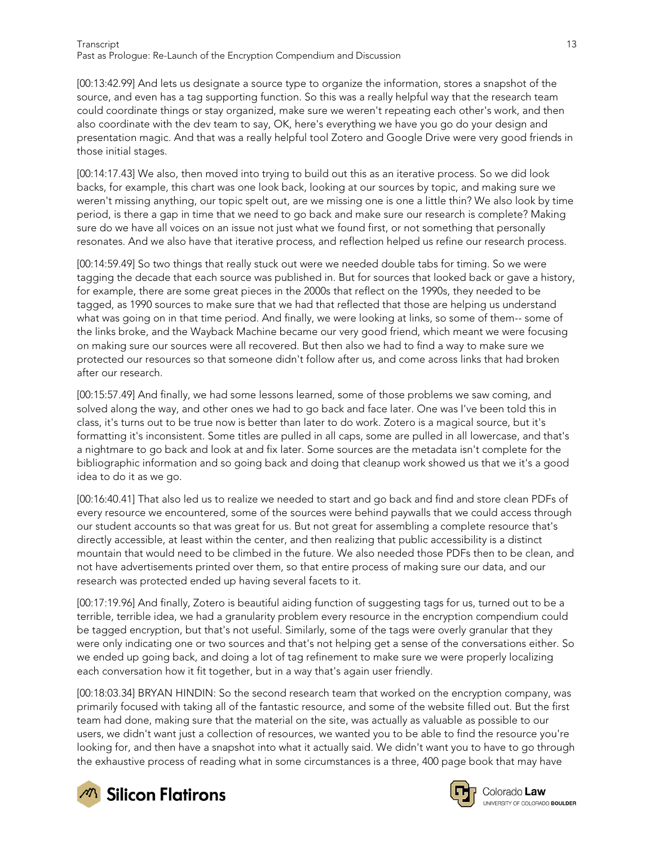### Transcript 13 Past as Prologue: Re-Launch of the Encryption Compendium and Discussion

[00:13:42.99] And lets us designate a source type to organize the information, stores a snapshot of the source, and even has a tag supporting function. So this was a really helpful way that the research team could coordinate things or stay organized, make sure we weren't repeating each other's work, and then also coordinate with the dev team to say, OK, here's everything we have you go do your design and presentation magic. And that was a really helpful tool Zotero and Google Drive were very good friends in those initial stages.

[00:14:17.43] We also, then moved into trying to build out this as an iterative process. So we did look backs, for example, this chart was one look back, looking at our sources by topic, and making sure we weren't missing anything, our topic spelt out, are we missing one is one a little thin? We also look by time period, is there a gap in time that we need to go back and make sure our research is complete? Making sure do we have all voices on an issue not just what we found first, or not something that personally resonates. And we also have that iterative process, and reflection helped us refine our research process.

[00:14:59.49] So two things that really stuck out were we needed double tabs for timing. So we were tagging the decade that each source was published in. But for sources that looked back or gave a history, for example, there are some great pieces in the 2000s that reflect on the 1990s, they needed to be tagged, as 1990 sources to make sure that we had that reflected that those are helping us understand what was going on in that time period. And finally, we were looking at links, so some of them-- some of the links broke, and the Wayback Machine became our very good friend, which meant we were focusing on making sure our sources were all recovered. But then also we had to find a way to make sure we protected our resources so that someone didn't follow after us, and come across links that had broken after our research.

[00:15:57.49] And finally, we had some lessons learned, some of those problems we saw coming, and solved along the way, and other ones we had to go back and face later. One was I've been told this in class, it's turns out to be true now is better than later to do work. Zotero is a magical source, but it's formatting it's inconsistent. Some titles are pulled in all caps, some are pulled in all lowercase, and that's a nightmare to go back and look at and fix later. Some sources are the metadata isn't complete for the bibliographic information and so going back and doing that cleanup work showed us that we it's a good idea to do it as we go.

[00:16:40.41] That also led us to realize we needed to start and go back and find and store clean PDFs of every resource we encountered, some of the sources were behind paywalls that we could access through our student accounts so that was great for us. But not great for assembling a complete resource that's directly accessible, at least within the center, and then realizing that public accessibility is a distinct mountain that would need to be climbed in the future. We also needed those PDFs then to be clean, and not have advertisements printed over them, so that entire process of making sure our data, and our research was protected ended up having several facets to it.

[00:17:19.96] And finally, Zotero is beautiful aiding function of suggesting tags for us, turned out to be a terrible, terrible idea, we had a granularity problem every resource in the encryption compendium could be tagged encryption, but that's not useful. Similarly, some of the tags were overly granular that they were only indicating one or two sources and that's not helping get a sense of the conversations either. So we ended up going back, and doing a lot of tag refinement to make sure we were properly localizing each conversation how it fit together, but in a way that's again user friendly.

[00:18:03.34] BRYAN HINDIN: So the second research team that worked on the encryption company, was primarily focused with taking all of the fantastic resource, and some of the website filled out. But the first team had done, making sure that the material on the site, was actually as valuable as possible to our users, we didn't want just a collection of resources, we wanted you to be able to find the resource you're looking for, and then have a snapshot into what it actually said. We didn't want you to have to go through the exhaustive process of reading what in some circumstances is a three, 400 page book that may have



**M** Silicon Flatirons

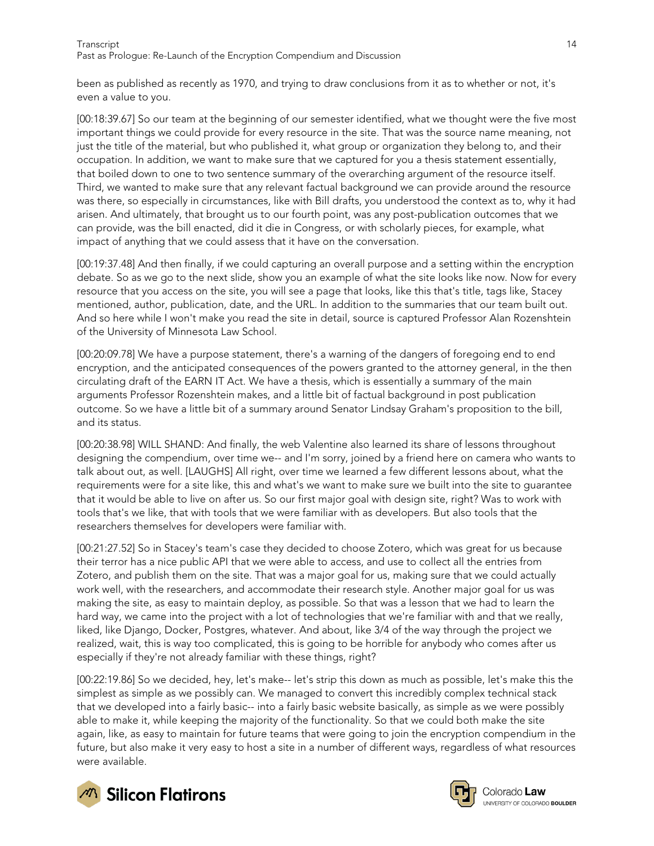been as published as recently as 1970, and trying to draw conclusions from it as to whether or not, it's even a value to you.

[00:18:39.67] So our team at the beginning of our semester identified, what we thought were the five most important things we could provide for every resource in the site. That was the source name meaning, not just the title of the material, but who published it, what group or organization they belong to, and their occupation. In addition, we want to make sure that we captured for you a thesis statement essentially, that boiled down to one to two sentence summary of the overarching argument of the resource itself. Third, we wanted to make sure that any relevant factual background we can provide around the resource was there, so especially in circumstances, like with Bill drafts, you understood the context as to, why it had arisen. And ultimately, that brought us to our fourth point, was any post-publication outcomes that we can provide, was the bill enacted, did it die in Congress, or with scholarly pieces, for example, what impact of anything that we could assess that it have on the conversation.

[00:19:37.48] And then finally, if we could capturing an overall purpose and a setting within the encryption debate. So as we go to the next slide, show you an example of what the site looks like now. Now for every resource that you access on the site, you will see a page that looks, like this that's title, tags like, Stacey mentioned, author, publication, date, and the URL. In addition to the summaries that our team built out. And so here while I won't make you read the site in detail, source is captured Professor Alan Rozenshtein of the University of Minnesota Law School.

[00:20:09.78] We have a purpose statement, there's a warning of the dangers of foregoing end to end encryption, and the anticipated consequences of the powers granted to the attorney general, in the then circulating draft of the EARN IT Act. We have a thesis, which is essentially a summary of the main arguments Professor Rozenshtein makes, and a little bit of factual background in post publication outcome. So we have a little bit of a summary around Senator Lindsay Graham's proposition to the bill, and its status.

[00:20:38.98] WILL SHAND: And finally, the web Valentine also learned its share of lessons throughout designing the compendium, over time we-- and I'm sorry, joined by a friend here on camera who wants to talk about out, as well. [LAUGHS] All right, over time we learned a few different lessons about, what the requirements were for a site like, this and what's we want to make sure we built into the site to guarantee that it would be able to live on after us. So our first major goal with design site, right? Was to work with tools that's we like, that with tools that we were familiar with as developers. But also tools that the researchers themselves for developers were familiar with.

[00:21:27.52] So in Stacey's team's case they decided to choose Zotero, which was great for us because their terror has a nice public API that we were able to access, and use to collect all the entries from Zotero, and publish them on the site. That was a major goal for us, making sure that we could actually work well, with the researchers, and accommodate their research style. Another major goal for us was making the site, as easy to maintain deploy, as possible. So that was a lesson that we had to learn the hard way, we came into the project with a lot of technologies that we're familiar with and that we really, liked, like Django, Docker, Postgres, whatever. And about, like 3/4 of the way through the project we realized, wait, this is way too complicated, this is going to be horrible for anybody who comes after us especially if they're not already familiar with these things, right?

[00:22:19.86] So we decided, hey, let's make-- let's strip this down as much as possible, let's make this the simplest as simple as we possibly can. We managed to convert this incredibly complex technical stack that we developed into a fairly basic-- into a fairly basic website basically, as simple as we were possibly able to make it, while keeping the majority of the functionality. So that we could both make the site again, like, as easy to maintain for future teams that were going to join the encryption compendium in the future, but also make it very easy to host a site in a number of different ways, regardless of what resources were available.



**M** Silicon Flatirons

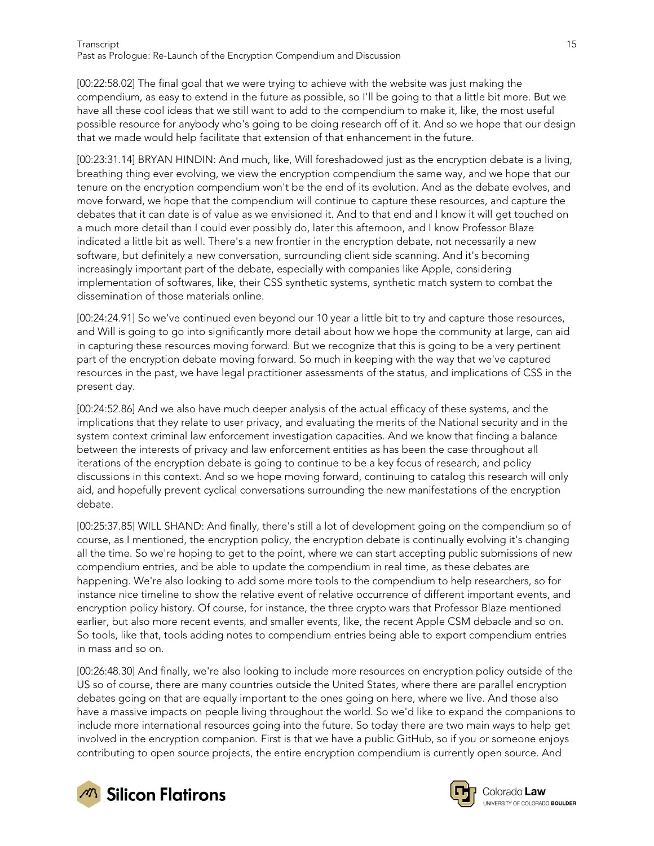### Transcript 15 Past as Prologue: Re-Launch of the Encryption Compendium and Discussion

[00:22:58.02] The final goal that we were trying to achieve with the website was just making the compendium, as easy to extend in the future as possible, so I'll be going to that a little bit more. But we have all these cool ideas that we still want to add to the compendium to make it, like, the most useful possible resource for anybody who's going to be doing research off of it. And so we hope that our design that we made would help facilitate that extension of that enhancement in the future.

[00:23:31.14] BRYAN HINDIN: And much, like, Will foreshadowed just as the encryption debate is a living, breathing thing ever evolving, we view the encryption compendium the same way, and we hope that our tenure on the encryption compendium won't be the end of its evolution. And as the debate evolves, and move forward, we hope that the compendium will continue to capture these resources, and capture the debates that it can date is of value as we envisioned it. And to that end and I know it will get touched on a much more detail than I could ever possibly do, later this afternoon, and I know Professor Blaze indicated a little bit as well. There's a new frontier in the encryption debate, not necessarily a new software, but definitely a new conversation, surrounding client side scanning. And it's becoming increasingly important part of the debate, especially with companies like Apple, considering implementation of softwares, like, their CSS synthetic systems, synthetic match system to combat the dissemination of those materials online.

[00:24:24.91] So we've continued even beyond our 10 year a little bit to try and capture those resources, and Will is going to go into significantly more detail about how we hope the community at large, can aid in capturing these resources moving forward. But we recognize that this is going to be a very pertinent part of the encryption debate moving forward. So much in keeping with the way that we've captured resources in the past, we have legal practitioner assessments of the status, and implications of CSS in the present day.

[00:24:52.86] And we also have much deeper analysis of the actual efficacy of these systems, and the implications that they relate to user privacy, and evaluating the merits of the National security and in the system context criminal law enforcement investigation capacities. And we know that finding a balance between the interests of privacy and law enforcement entities as has been the case throughout all iterations of the encryption debate is going to continue to be a key focus of research, and policy discussions in this context. And so we hope moving forward, continuing to catalog this research will only aid, and hopefully prevent cyclical conversations surrounding the new manifestations of the encryption debate.

[00:25:37.85] WILL SHAND: And finally, there's still a lot of development going on the compendium so of course, as I mentioned, the encryption policy, the encryption debate is continually evolving it's changing all the time. So we're hoping to get to the point, where we can start accepting public submissions of new compendium entries, and be able to update the compendium in real time, as these debates are happening. We're also looking to add some more tools to the compendium to help researchers, so for instance nice timeline to show the relative event of relative occurrence of different important events, and encryption policy history. Of course, for instance, the three crypto wars that Professor Blaze mentioned earlier, but also more recent events, and smaller events, like, the recent Apple CSM debacle and so on. So tools, like that, tools adding notes to compendium entries being able to export compendium entries in mass and so on.

[00:26:48.30] And finally, we're also looking to include more resources on encryption policy outside of the US so of course, there are many countries outside the United States, where there are parallel encryption debates going on that are equally important to the ones going on here, where we live. And those also have a massive impacts on people living throughout the world. So we'd like to expand the companions to include more international resources going into the future. So today there are two main ways to help get involved in the encryption companion. First is that we have a public GitHub, so if you or someone enjoys contributing to open source projects, the entire encryption compendium is currently open source. And



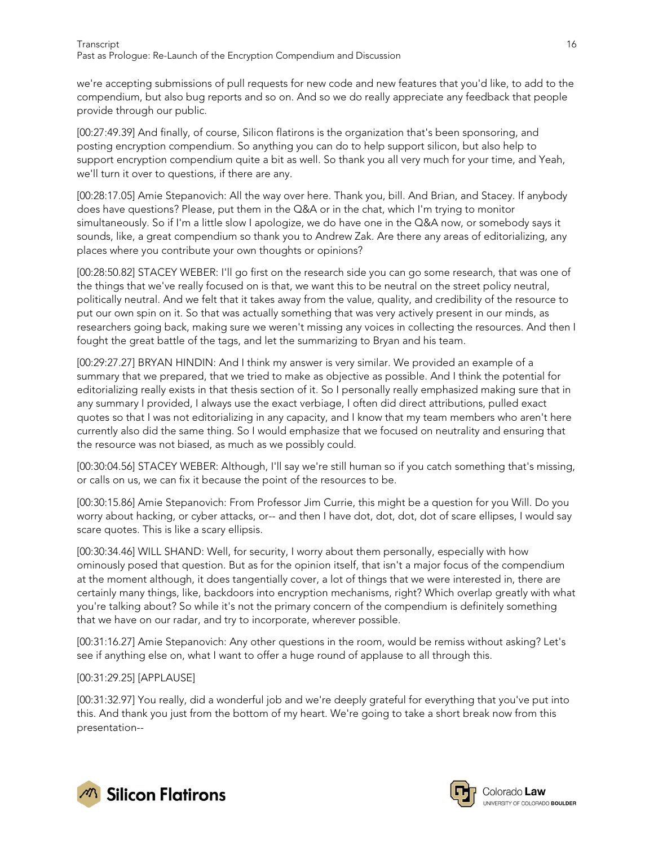we're accepting submissions of pull requests for new code and new features that you'd like, to add to the compendium, but also bug reports and so on. And so we do really appreciate any feedback that people provide through our public.

[00:27:49.39] And finally, of course, Silicon flatirons is the organization that's been sponsoring, and posting encryption compendium. So anything you can do to help support silicon, but also help to support encryption compendium quite a bit as well. So thank you all very much for your time, and Yeah, we'll turn it over to questions, if there are any.

[00:28:17.05] Amie Stepanovich: All the way over here. Thank you, bill. And Brian, and Stacey. If anybody does have questions? Please, put them in the Q&A or in the chat, which I'm trying to monitor simultaneously. So if I'm a little slow I apologize, we do have one in the Q&A now, or somebody says it sounds, like, a great compendium so thank you to Andrew Zak. Are there any areas of editorializing, any places where you contribute your own thoughts or opinions?

[00:28:50.82] STACEY WEBER: I'll go first on the research side you can go some research, that was one of the things that we've really focused on is that, we want this to be neutral on the street policy neutral, politically neutral. And we felt that it takes away from the value, quality, and credibility of the resource to put our own spin on it. So that was actually something that was very actively present in our minds, as researchers going back, making sure we weren't missing any voices in collecting the resources. And then I fought the great battle of the tags, and let the summarizing to Bryan and his team.

[00:29:27.27] BRYAN HINDIN: And I think my answer is very similar. We provided an example of a summary that we prepared, that we tried to make as objective as possible. And I think the potential for editorializing really exists in that thesis section of it. So I personally really emphasized making sure that in any summary I provided, I always use the exact verbiage, I often did direct attributions, pulled exact quotes so that I was not editorializing in any capacity, and I know that my team members who aren't here currently also did the same thing. So I would emphasize that we focused on neutrality and ensuring that the resource was not biased, as much as we possibly could.

[00:30:04.56] STACEY WEBER: Although, I'll say we're still human so if you catch something that's missing, or calls on us, we can fix it because the point of the resources to be.

[00:30:15.86] Amie Stepanovich: From Professor Jim Currie, this might be a question for you Will. Do you worry about hacking, or cyber attacks, or-- and then I have dot, dot, dot, dot of scare ellipses, I would say scare quotes. This is like a scary ellipsis.

[00:30:34.46] WILL SHAND: Well, for security, I worry about them personally, especially with how ominously posed that question. But as for the opinion itself, that isn't a major focus of the compendium at the moment although, it does tangentially cover, a lot of things that we were interested in, there are certainly many things, like, backdoors into encryption mechanisms, right? Which overlap greatly with what you're talking about? So while it's not the primary concern of the compendium is definitely something that we have on our radar, and try to incorporate, wherever possible.

[00:31:16.27] Amie Stepanovich: Any other questions in the room, would be remiss without asking? Let's see if anything else on, what I want to offer a huge round of applause to all through this.

## [00:31:29.25] [APPLAUSE]

[00:31:32.97] You really, did a wonderful job and we're deeply grateful for everything that you've put into this. And thank you just from the bottom of my heart. We're going to take a short break now from this presentation--



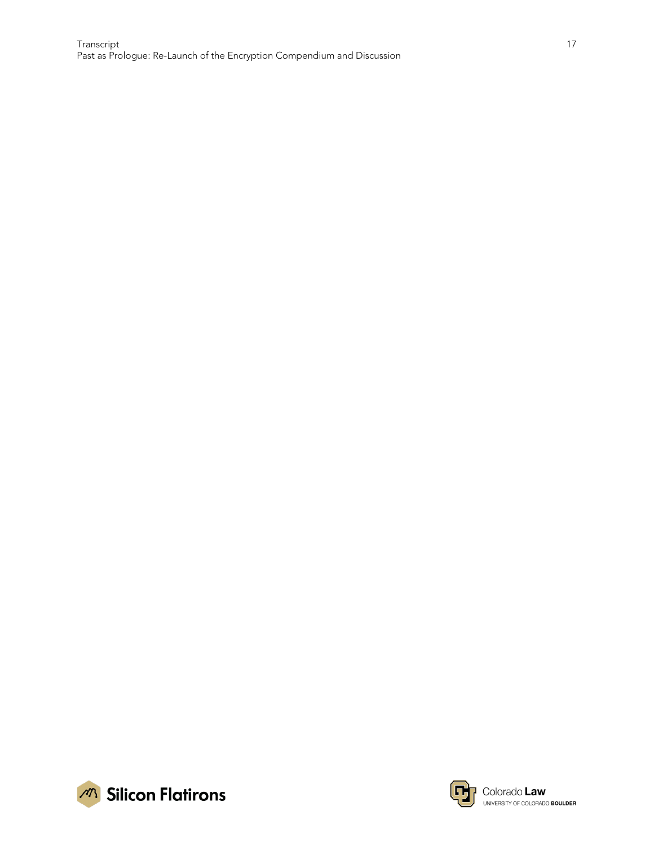

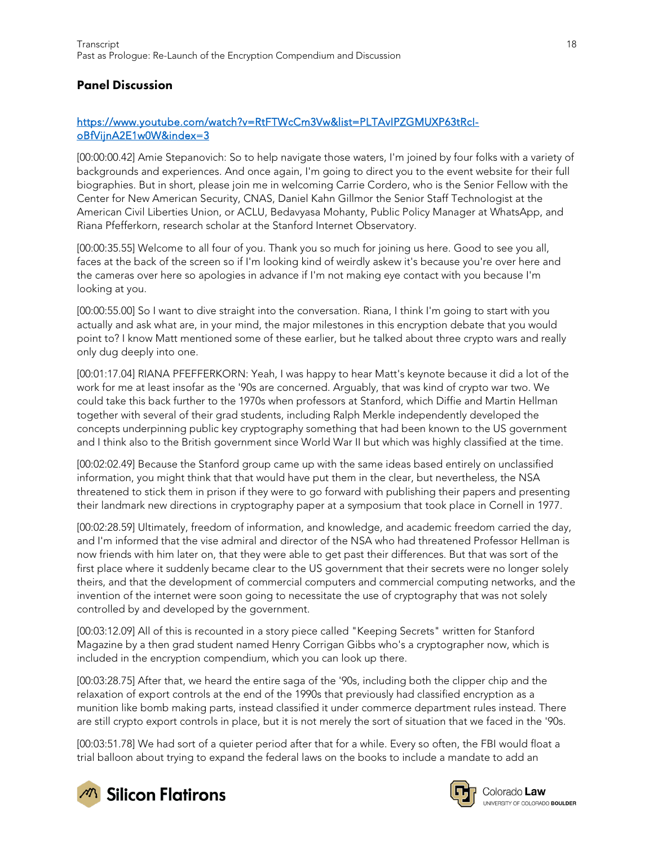# <span id="page-17-0"></span>Panel Discussion

## [https://www.youtube.com/watch?v=RtFTWcCm3Vw&list=PLTAvIPZGMUXP63tRcI](https://www.youtube.com/watch?v=RtFTWcCm3Vw&list=PLTAvIPZGMUXP63tRcI-oBfVijnA2E1w0W&index=3)[oBfVijnA2E1w0W&index=3](https://www.youtube.com/watch?v=RtFTWcCm3Vw&list=PLTAvIPZGMUXP63tRcI-oBfVijnA2E1w0W&index=3)

[00:00:00.42] Amie Stepanovich: So to help navigate those waters, I'm joined by four folks with a variety of backgrounds and experiences. And once again, I'm going to direct you to the event website for their full biographies. But in short, please join me in welcoming Carrie Cordero, who is the Senior Fellow with the Center for New American Security, CNAS, Daniel Kahn Gillmor the Senior Staff Technologist at the American Civil Liberties Union, or ACLU, Bedavyasa Mohanty, Public Policy Manager at WhatsApp, and Riana Pfefferkorn, research scholar at the Stanford Internet Observatory.

[00:00:35.55] Welcome to all four of you. Thank you so much for joining us here. Good to see you all, faces at the back of the screen so if I'm looking kind of weirdly askew it's because you're over here and the cameras over here so apologies in advance if I'm not making eye contact with you because I'm looking at you.

[00:00:55.00] So I want to dive straight into the conversation. Riana, I think I'm going to start with you actually and ask what are, in your mind, the major milestones in this encryption debate that you would point to? I know Matt mentioned some of these earlier, but he talked about three crypto wars and really only dug deeply into one.

[00:01:17.04] RIANA PFEFFERKORN: Yeah, I was happy to hear Matt's keynote because it did a lot of the work for me at least insofar as the '90s are concerned. Arguably, that was kind of crypto war two. We could take this back further to the 1970s when professors at Stanford, which Diffie and Martin Hellman together with several of their grad students, including Ralph Merkle independently developed the concepts underpinning public key cryptography something that had been known to the US government and I think also to the British government since World War II but which was highly classified at the time.

[00:02:02.49] Because the Stanford group came up with the same ideas based entirely on unclassified information, you might think that that would have put them in the clear, but nevertheless, the NSA threatened to stick them in prison if they were to go forward with publishing their papers and presenting their landmark new directions in cryptography paper at a symposium that took place in Cornell in 1977.

[00:02:28.59] Ultimately, freedom of information, and knowledge, and academic freedom carried the day, and I'm informed that the vise admiral and director of the NSA who had threatened Professor Hellman is now friends with him later on, that they were able to get past their differences. But that was sort of the first place where it suddenly became clear to the US government that their secrets were no longer solely theirs, and that the development of commercial computers and commercial computing networks, and the invention of the internet were soon going to necessitate the use of cryptography that was not solely controlled by and developed by the government.

[00:03:12.09] All of this is recounted in a story piece called "Keeping Secrets" written for Stanford Magazine by a then grad student named Henry Corrigan Gibbs who's a cryptographer now, which is included in the encryption compendium, which you can look up there.

[00:03:28.75] After that, we heard the entire saga of the '90s, including both the clipper chip and the relaxation of export controls at the end of the 1990s that previously had classified encryption as a munition like bomb making parts, instead classified it under commerce department rules instead. There are still crypto export controls in place, but it is not merely the sort of situation that we faced in the '90s.

[00:03:51.78] We had sort of a quieter period after that for a while. Every so often, the FBI would float a trial balloon about trying to expand the federal laws on the books to include a mandate to add an





**UNIVERSITY OF COLOBADO BOULDER**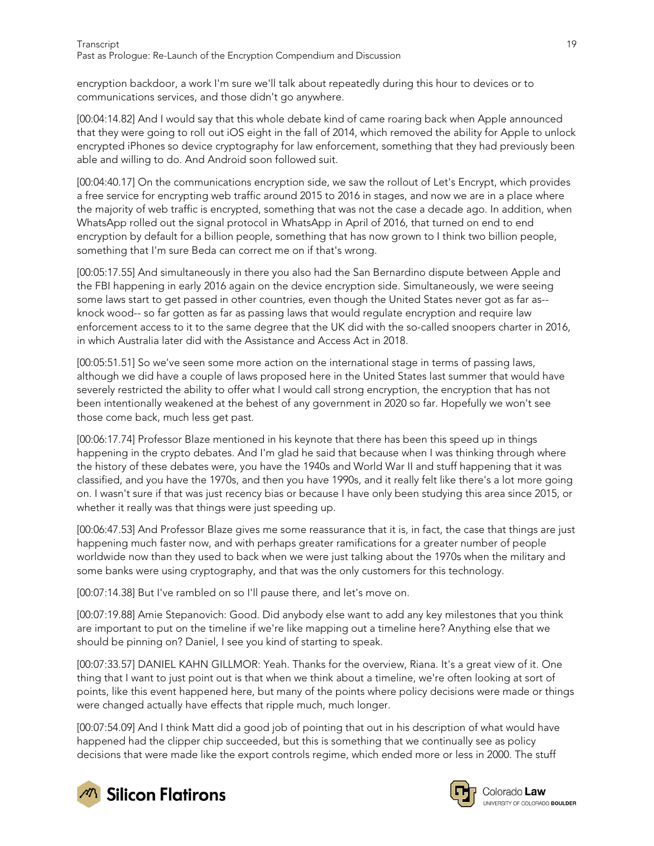encryption backdoor, a work I'm sure we'll talk about repeatedly during this hour to devices or to communications services, and those didn't go anywhere.

[00:04:14.82] And I would say that this whole debate kind of came roaring back when Apple announced that they were going to roll out iOS eight in the fall of 2014, which removed the ability for Apple to unlock encrypted iPhones so device cryptography for law enforcement, something that they had previously been able and willing to do. And Android soon followed suit.

[00:04:40.17] On the communications encryption side, we saw the rollout of Let's Encrypt, which provides a free service for encrypting web traffic around 2015 to 2016 in stages, and now we are in a place where the majority of web traffic is encrypted, something that was not the case a decade ago. In addition, when WhatsApp rolled out the signal protocol in WhatsApp in April of 2016, that turned on end to end encryption by default for a billion people, something that has now grown to I think two billion people, something that I'm sure Beda can correct me on if that's wrong.

[00:05:17.55] And simultaneously in there you also had the San Bernardino dispute between Apple and the FBI happening in early 2016 again on the device encryption side. Simultaneously, we were seeing some laws start to get passed in other countries, even though the United States never got as far as- knock wood-- so far gotten as far as passing laws that would regulate encryption and require law enforcement access to it to the same degree that the UK did with the so-called snoopers charter in 2016, in which Australia later did with the Assistance and Access Act in 2018.

[00:05:51.51] So we've seen some more action on the international stage in terms of passing laws, although we did have a couple of laws proposed here in the United States last summer that would have severely restricted the ability to offer what I would call strong encryption, the encryption that has not been intentionally weakened at the behest of any government in 2020 so far. Hopefully we won't see those come back, much less get past.

[00:06:17.74] Professor Blaze mentioned in his keynote that there has been this speed up in things happening in the crypto debates. And I'm glad he said that because when I was thinking through where the history of these debates were, you have the 1940s and World War II and stuff happening that it was classified, and you have the 1970s, and then you have 1990s, and it really felt like there's a lot more going on. I wasn't sure if that was just recency bias or because I have only been studying this area since 2015, or whether it really was that things were just speeding up.

[00:06:47.53] And Professor Blaze gives me some reassurance that it is, in fact, the case that things are just happening much faster now, and with perhaps greater ramifications for a greater number of people worldwide now than they used to back when we were just talking about the 1970s when the military and some banks were using cryptography, and that was the only customers for this technology.

[00:07:14.38] But I've rambled on so I'll pause there, and let's move on.

[00:07:19.88] Amie Stepanovich: Good. Did anybody else want to add any key milestones that you think are important to put on the timeline if we're like mapping out a timeline here? Anything else that we should be pinning on? Daniel, I see you kind of starting to speak.

[00:07:33.57] DANIEL KAHN GILLMOR: Yeah. Thanks for the overview, Riana. It's a great view of it. One thing that I want to just point out is that when we think about a timeline, we're often looking at sort of points, like this event happened here, but many of the points where policy decisions were made or things were changed actually have effects that ripple much, much longer.

[00:07:54.09] And I think Matt did a good job of pointing that out in his description of what would have happened had the clipper chip succeeded, but this is something that we continually see as policy decisions that were made like the export controls regime, which ended more or less in 2000. The stuff





**UNIVERSITY OF COLOBADO BOULDER**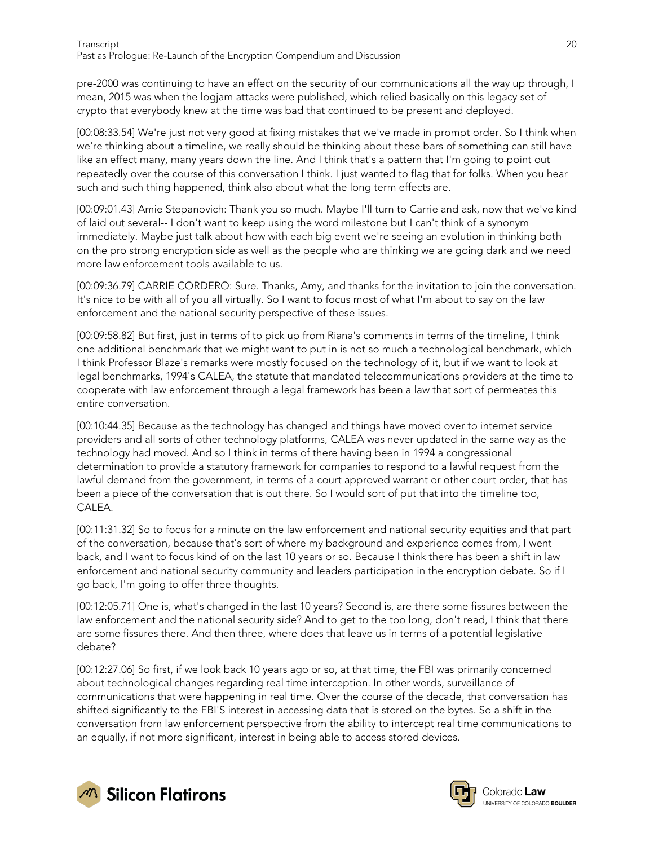pre-2000 was continuing to have an effect on the security of our communications all the way up through, I mean, 2015 was when the logjam attacks were published, which relied basically on this legacy set of crypto that everybody knew at the time was bad that continued to be present and deployed.

[00:08:33.54] We're just not very good at fixing mistakes that we've made in prompt order. So I think when we're thinking about a timeline, we really should be thinking about these bars of something can still have like an effect many, many years down the line. And I think that's a pattern that I'm going to point out repeatedly over the course of this conversation I think. I just wanted to flag that for folks. When you hear such and such thing happened, think also about what the long term effects are.

[00:09:01.43] Amie Stepanovich: Thank you so much. Maybe I'll turn to Carrie and ask, now that we've kind of laid out several-- I don't want to keep using the word milestone but I can't think of a synonym immediately. Maybe just talk about how with each big event we're seeing an evolution in thinking both on the pro strong encryption side as well as the people who are thinking we are going dark and we need more law enforcement tools available to us.

[00:09:36.79] CARRIE CORDERO: Sure. Thanks, Amy, and thanks for the invitation to join the conversation. It's nice to be with all of you all virtually. So I want to focus most of what I'm about to say on the law enforcement and the national security perspective of these issues.

[00:09:58.82] But first, just in terms of to pick up from Riana's comments in terms of the timeline, I think one additional benchmark that we might want to put in is not so much a technological benchmark, which I think Professor Blaze's remarks were mostly focused on the technology of it, but if we want to look at legal benchmarks, 1994's CALEA, the statute that mandated telecommunications providers at the time to cooperate with law enforcement through a legal framework has been a law that sort of permeates this entire conversation.

[00:10:44.35] Because as the technology has changed and things have moved over to internet service providers and all sorts of other technology platforms, CALEA was never updated in the same way as the technology had moved. And so I think in terms of there having been in 1994 a congressional determination to provide a statutory framework for companies to respond to a lawful request from the lawful demand from the government, in terms of a court approved warrant or other court order, that has been a piece of the conversation that is out there. So I would sort of put that into the timeline too, CALEA.

[00:11:31.32] So to focus for a minute on the law enforcement and national security equities and that part of the conversation, because that's sort of where my background and experience comes from, I went back, and I want to focus kind of on the last 10 years or so. Because I think there has been a shift in law enforcement and national security community and leaders participation in the encryption debate. So if I go back, I'm going to offer three thoughts.

[00:12:05.71] One is, what's changed in the last 10 years? Second is, are there some fissures between the law enforcement and the national security side? And to get to the too long, don't read, I think that there are some fissures there. And then three, where does that leave us in terms of a potential legislative debate?

[00:12:27.06] So first, if we look back 10 years ago or so, at that time, the FBI was primarily concerned about technological changes regarding real time interception. In other words, surveillance of communications that were happening in real time. Over the course of the decade, that conversation has shifted significantly to the FBI'S interest in accessing data that is stored on the bytes. So a shift in the conversation from law enforcement perspective from the ability to intercept real time communications to an equally, if not more significant, interest in being able to access stored devices.



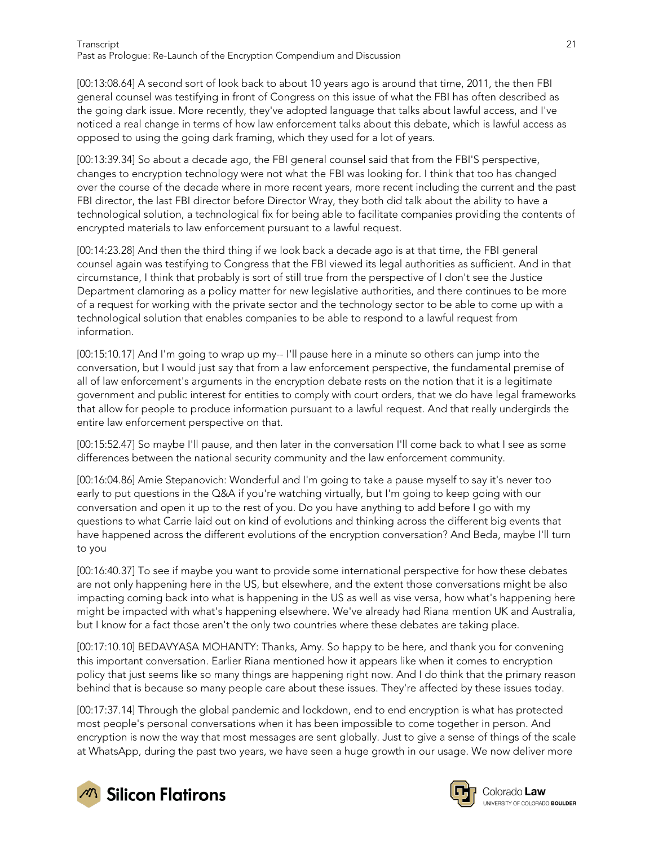[00:13:08.64] A second sort of look back to about 10 years ago is around that time, 2011, the then FBI general counsel was testifying in front of Congress on this issue of what the FBI has often described as the going dark issue. More recently, they've adopted language that talks about lawful access, and I've noticed a real change in terms of how law enforcement talks about this debate, which is lawful access as opposed to using the going dark framing, which they used for a lot of years.

[00:13:39.34] So about a decade ago, the FBI general counsel said that from the FBI'S perspective, changes to encryption technology were not what the FBI was looking for. I think that too has changed over the course of the decade where in more recent years, more recent including the current and the past FBI director, the last FBI director before Director Wray, they both did talk about the ability to have a technological solution, a technological fix for being able to facilitate companies providing the contents of encrypted materials to law enforcement pursuant to a lawful request.

[00:14:23.28] And then the third thing if we look back a decade ago is at that time, the FBI general counsel again was testifying to Congress that the FBI viewed its legal authorities as sufficient. And in that circumstance, I think that probably is sort of still true from the perspective of I don't see the Justice Department clamoring as a policy matter for new legislative authorities, and there continues to be more of a request for working with the private sector and the technology sector to be able to come up with a technological solution that enables companies to be able to respond to a lawful request from information.

[00:15:10.17] And I'm going to wrap up my-- I'll pause here in a minute so others can jump into the conversation, but I would just say that from a law enforcement perspective, the fundamental premise of all of law enforcement's arguments in the encryption debate rests on the notion that it is a legitimate government and public interest for entities to comply with court orders, that we do have legal frameworks that allow for people to produce information pursuant to a lawful request. And that really undergirds the entire law enforcement perspective on that.

[00:15:52.47] So maybe I'll pause, and then later in the conversation I'll come back to what I see as some differences between the national security community and the law enforcement community.

[00:16:04.86] Amie Stepanovich: Wonderful and I'm going to take a pause myself to say it's never too early to put questions in the Q&A if you're watching virtually, but I'm going to keep going with our conversation and open it up to the rest of you. Do you have anything to add before I go with my questions to what Carrie laid out on kind of evolutions and thinking across the different big events that have happened across the different evolutions of the encryption conversation? And Beda, maybe I'll turn to you

[00:16:40.37] To see if maybe you want to provide some international perspective for how these debates are not only happening here in the US, but elsewhere, and the extent those conversations might be also impacting coming back into what is happening in the US as well as vise versa, how what's happening here might be impacted with what's happening elsewhere. We've already had Riana mention UK and Australia, but I know for a fact those aren't the only two countries where these debates are taking place.

[00:17:10.10] BEDAVYASA MOHANTY: Thanks, Amy. So happy to be here, and thank you for convening this important conversation. Earlier Riana mentioned how it appears like when it comes to encryption policy that just seems like so many things are happening right now. And I do think that the primary reason behind that is because so many people care about these issues. They're affected by these issues today.

[00:17:37.14] Through the global pandemic and lockdown, end to end encryption is what has protected most people's personal conversations when it has been impossible to come together in person. And encryption is now the way that most messages are sent globally. Just to give a sense of things of the scale at WhatsApp, during the past two years, we have seen a huge growth in our usage. We now deliver more



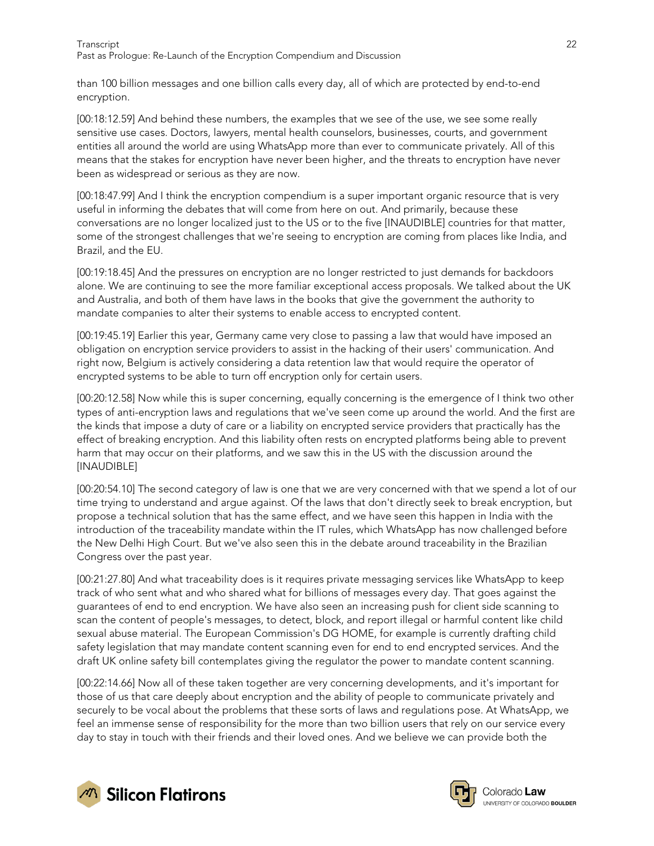### Transcript 22 Past as Prologue: Re-Launch of the Encryption Compendium and Discussion

than 100 billion messages and one billion calls every day, all of which are protected by end-to-end encryption.

[00:18:12.59] And behind these numbers, the examples that we see of the use, we see some really sensitive use cases. Doctors, lawyers, mental health counselors, businesses, courts, and government entities all around the world are using WhatsApp more than ever to communicate privately. All of this means that the stakes for encryption have never been higher, and the threats to encryption have never been as widespread or serious as they are now.

[00:18:47.99] And I think the encryption compendium is a super important organic resource that is very useful in informing the debates that will come from here on out. And primarily, because these conversations are no longer localized just to the US or to the five [INAUDIBLE] countries for that matter, some of the strongest challenges that we're seeing to encryption are coming from places like India, and Brazil, and the EU.

[00:19:18.45] And the pressures on encryption are no longer restricted to just demands for backdoors alone. We are continuing to see the more familiar exceptional access proposals. We talked about the UK and Australia, and both of them have laws in the books that give the government the authority to mandate companies to alter their systems to enable access to encrypted content.

[00:19:45.19] Earlier this year, Germany came very close to passing a law that would have imposed an obligation on encryption service providers to assist in the hacking of their users' communication. And right now, Belgium is actively considering a data retention law that would require the operator of encrypted systems to be able to turn off encryption only for certain users.

[00:20:12.58] Now while this is super concerning, equally concerning is the emergence of I think two other types of anti-encryption laws and regulations that we've seen come up around the world. And the first are the kinds that impose a duty of care or a liability on encrypted service providers that practically has the effect of breaking encryption. And this liability often rests on encrypted platforms being able to prevent harm that may occur on their platforms, and we saw this in the US with the discussion around the [INAUDIBLE]

[00:20:54.10] The second category of law is one that we are very concerned with that we spend a lot of our time trying to understand and argue against. Of the laws that don't directly seek to break encryption, but propose a technical solution that has the same effect, and we have seen this happen in India with the introduction of the traceability mandate within the IT rules, which WhatsApp has now challenged before the New Delhi High Court. But we've also seen this in the debate around traceability in the Brazilian Congress over the past year.

[00:21:27.80] And what traceability does is it requires private messaging services like WhatsApp to keep track of who sent what and who shared what for billions of messages every day. That goes against the guarantees of end to end encryption. We have also seen an increasing push for client side scanning to scan the content of people's messages, to detect, block, and report illegal or harmful content like child sexual abuse material. The European Commission's DG HOME, for example is currently drafting child safety legislation that may mandate content scanning even for end to end encrypted services. And the draft UK online safety bill contemplates giving the regulator the power to mandate content scanning.

[00:22:14.66] Now all of these taken together are very concerning developments, and it's important for those of us that care deeply about encryption and the ability of people to communicate privately and securely to be vocal about the problems that these sorts of laws and regulations pose. At WhatsApp, we feel an immense sense of responsibility for the more than two billion users that rely on our service every day to stay in touch with their friends and their loved ones. And we believe we can provide both the

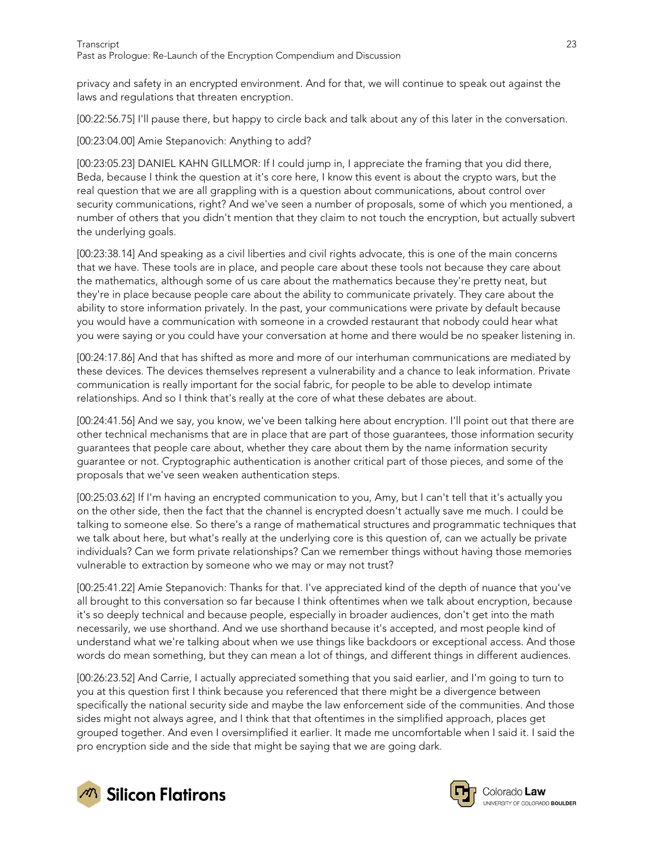privacy and safety in an encrypted environment. And for that, we will continue to speak out against the laws and regulations that threaten encryption.

[00:22:56.75] I'll pause there, but happy to circle back and talk about any of this later in the conversation.

# [00:23:04.00] Amie Stepanovich: Anything to add?

[00:23:05.23] DANIEL KAHN GILLMOR: If I could jump in, I appreciate the framing that you did there, Beda, because I think the question at it's core here, I know this event is about the crypto wars, but the real question that we are all grappling with is a question about communications, about control over security communications, right? And we've seen a number of proposals, some of which you mentioned, a number of others that you didn't mention that they claim to not touch the encryption, but actually subvert the underlying goals.

[00:23:38.14] And speaking as a civil liberties and civil rights advocate, this is one of the main concerns that we have. These tools are in place, and people care about these tools not because they care about the mathematics, although some of us care about the mathematics because they're pretty neat, but they're in place because people care about the ability to communicate privately. They care about the ability to store information privately. In the past, your communications were private by default because you would have a communication with someone in a crowded restaurant that nobody could hear what you were saying or you could have your conversation at home and there would be no speaker listening in.

[00:24:17.86] And that has shifted as more and more of our interhuman communications are mediated by these devices. The devices themselves represent a vulnerability and a chance to leak information. Private communication is really important for the social fabric, for people to be able to develop intimate relationships. And so I think that's really at the core of what these debates are about.

[00:24:41.56] And we say, you know, we've been talking here about encryption. I'll point out that there are other technical mechanisms that are in place that are part of those guarantees, those information security guarantees that people care about, whether they care about them by the name information security guarantee or not. Cryptographic authentication is another critical part of those pieces, and some of the proposals that we've seen weaken authentication steps.

[00:25:03.62] If I'm having an encrypted communication to you, Amy, but I can't tell that it's actually you on the other side, then the fact that the channel is encrypted doesn't actually save me much. I could be talking to someone else. So there's a range of mathematical structures and programmatic techniques that we talk about here, but what's really at the underlying core is this question of, can we actually be private individuals? Can we form private relationships? Can we remember things without having those memories vulnerable to extraction by someone who we may or may not trust?

[00:25:41.22] Amie Stepanovich: Thanks for that. I've appreciated kind of the depth of nuance that you've all brought to this conversation so far because I think oftentimes when we talk about encryption, because it's so deeply technical and because people, especially in broader audiences, don't get into the math necessarily, we use shorthand. And we use shorthand because it's accepted, and most people kind of understand what we're talking about when we use things like backdoors or exceptional access. And those words do mean something, but they can mean a lot of things, and different things in different audiences.

[00:26:23.52] And Carrie, I actually appreciated something that you said earlier, and I'm going to turn to you at this question first I think because you referenced that there might be a divergence between specifically the national security side and maybe the law enforcement side of the communities. And those sides might not always agree, and I think that that oftentimes in the simplified approach, places get grouped together. And even I oversimplified it earlier. It made me uncomfortable when I said it. I said the pro encryption side and the side that might be saying that we are going dark.



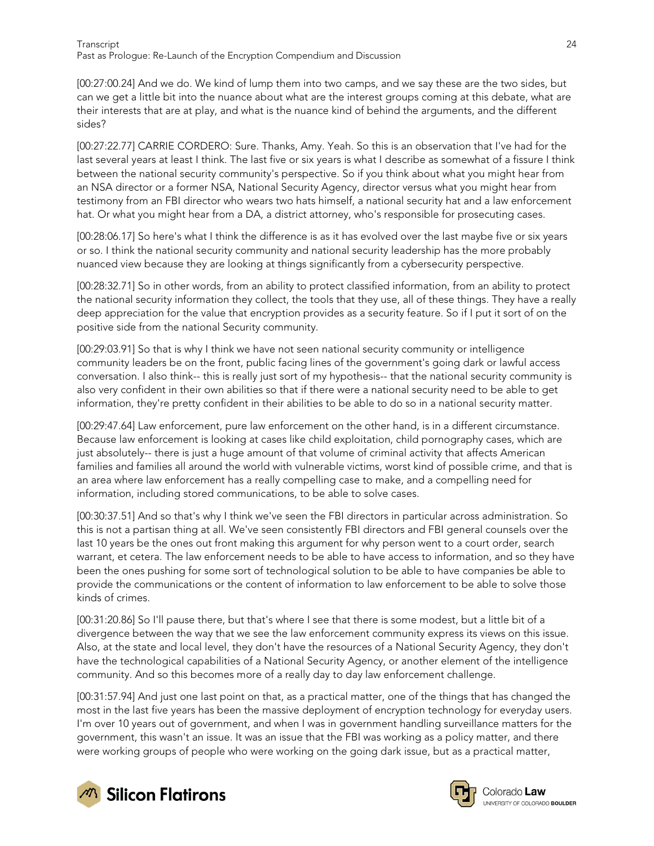Transcript 24 Past as Prologue: Re-Launch of the Encryption Compendium and Discussion

[00:27:00.24] And we do. We kind of lump them into two camps, and we say these are the two sides, but can we get a little bit into the nuance about what are the interest groups coming at this debate, what are their interests that are at play, and what is the nuance kind of behind the arguments, and the different sides?

[00:27:22.77] CARRIE CORDERO: Sure. Thanks, Amy. Yeah. So this is an observation that I've had for the last several years at least I think. The last five or six years is what I describe as somewhat of a fissure I think between the national security community's perspective. So if you think about what you might hear from an NSA director or a former NSA, National Security Agency, director versus what you might hear from testimony from an FBI director who wears two hats himself, a national security hat and a law enforcement hat. Or what you might hear from a DA, a district attorney, who's responsible for prosecuting cases.

[00:28:06.17] So here's what I think the difference is as it has evolved over the last maybe five or six years or so. I think the national security community and national security leadership has the more probably nuanced view because they are looking at things significantly from a cybersecurity perspective.

[00:28:32.71] So in other words, from an ability to protect classified information, from an ability to protect the national security information they collect, the tools that they use, all of these things. They have a really deep appreciation for the value that encryption provides as a security feature. So if I put it sort of on the positive side from the national Security community.

[00:29:03.91] So that is why I think we have not seen national security community or intelligence community leaders be on the front, public facing lines of the government's going dark or lawful access conversation. I also think-- this is really just sort of my hypothesis-- that the national security community is also very confident in their own abilities so that if there were a national security need to be able to get information, they're pretty confident in their abilities to be able to do so in a national security matter.

[00:29:47.64] Law enforcement, pure law enforcement on the other hand, is in a different circumstance. Because law enforcement is looking at cases like child exploitation, child pornography cases, which are just absolutely-- there is just a huge amount of that volume of criminal activity that affects American families and families all around the world with vulnerable victims, worst kind of possible crime, and that is an area where law enforcement has a really compelling case to make, and a compelling need for information, including stored communications, to be able to solve cases.

[00:30:37.51] And so that's why I think we've seen the FBI directors in particular across administration. So this is not a partisan thing at all. We've seen consistently FBI directors and FBI general counsels over the last 10 years be the ones out front making this argument for why person went to a court order, search warrant, et cetera. The law enforcement needs to be able to have access to information, and so they have been the ones pushing for some sort of technological solution to be able to have companies be able to provide the communications or the content of information to law enforcement to be able to solve those kinds of crimes.

[00:31:20.86] So I'll pause there, but that's where I see that there is some modest, but a little bit of a divergence between the way that we see the law enforcement community express its views on this issue. Also, at the state and local level, they don't have the resources of a National Security Agency, they don't have the technological capabilities of a National Security Agency, or another element of the intelligence community. And so this becomes more of a really day to day law enforcement challenge.

[00:31:57.94] And just one last point on that, as a practical matter, one of the things that has changed the most in the last five years has been the massive deployment of encryption technology for everyday users. I'm over 10 years out of government, and when I was in government handling surveillance matters for the government, this wasn't an issue. It was an issue that the FBI was working as a policy matter, and there were working groups of people who were working on the going dark issue, but as a practical matter,



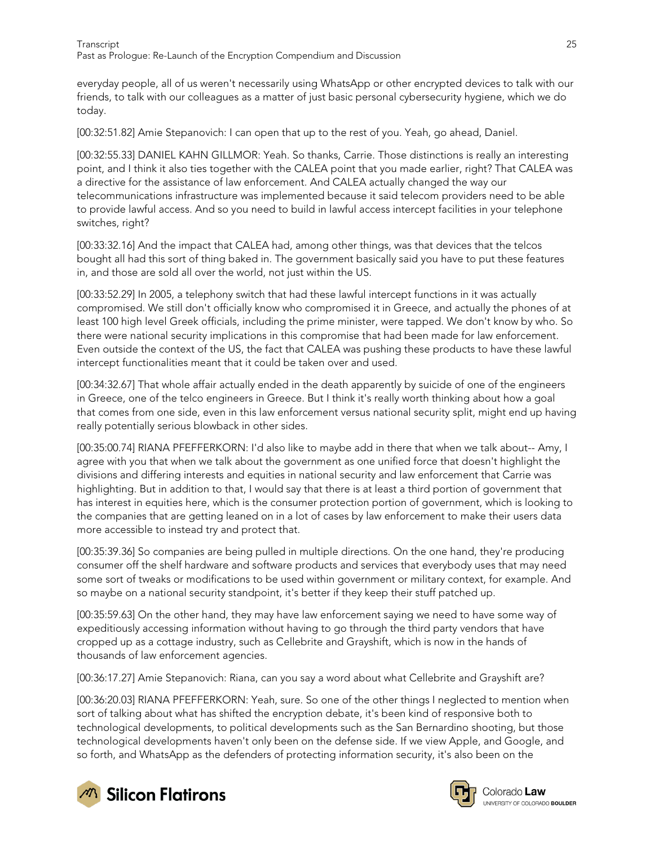Transcript 25 Past as Prologue: Re-Launch of the Encryption Compendium and Discussion

everyday people, all of us weren't necessarily using WhatsApp or other encrypted devices to talk with our friends, to talk with our colleagues as a matter of just basic personal cybersecurity hygiene, which we do today.

[00:32:51.82] Amie Stepanovich: I can open that up to the rest of you. Yeah, go ahead, Daniel.

[00:32:55.33] DANIEL KAHN GILLMOR: Yeah. So thanks, Carrie. Those distinctions is really an interesting point, and I think it also ties together with the CALEA point that you made earlier, right? That CALEA was a directive for the assistance of law enforcement. And CALEA actually changed the way our telecommunications infrastructure was implemented because it said telecom providers need to be able to provide lawful access. And so you need to build in lawful access intercept facilities in your telephone switches, right?

[00:33:32.16] And the impact that CALEA had, among other things, was that devices that the telcos bought all had this sort of thing baked in. The government basically said you have to put these features in, and those are sold all over the world, not just within the US.

[00:33:52.29] In 2005, a telephony switch that had these lawful intercept functions in it was actually compromised. We still don't officially know who compromised it in Greece, and actually the phones of at least 100 high level Greek officials, including the prime minister, were tapped. We don't know by who. So there were national security implications in this compromise that had been made for law enforcement. Even outside the context of the US, the fact that CALEA was pushing these products to have these lawful intercept functionalities meant that it could be taken over and used.

[00:34:32.67] That whole affair actually ended in the death apparently by suicide of one of the engineers in Greece, one of the telco engineers in Greece. But I think it's really worth thinking about how a goal that comes from one side, even in this law enforcement versus national security split, might end up having really potentially serious blowback in other sides.

[00:35:00.74] RIANA PFEFFERKORN: I'd also like to maybe add in there that when we talk about-- Amy, I agree with you that when we talk about the government as one unified force that doesn't highlight the divisions and differing interests and equities in national security and law enforcement that Carrie was highlighting. But in addition to that, I would say that there is at least a third portion of government that has interest in equities here, which is the consumer protection portion of government, which is looking to the companies that are getting leaned on in a lot of cases by law enforcement to make their users data more accessible to instead try and protect that.

[00:35:39.36] So companies are being pulled in multiple directions. On the one hand, they're producing consumer off the shelf hardware and software products and services that everybody uses that may need some sort of tweaks or modifications to be used within government or military context, for example. And so maybe on a national security standpoint, it's better if they keep their stuff patched up.

[00:35:59.63] On the other hand, they may have law enforcement saying we need to have some way of expeditiously accessing information without having to go through the third party vendors that have cropped up as a cottage industry, such as Cellebrite and Grayshift, which is now in the hands of thousands of law enforcement agencies.

[00:36:17.27] Amie Stepanovich: Riana, can you say a word about what Cellebrite and Grayshift are?

[00:36:20.03] RIANA PFEFFERKORN: Yeah, sure. So one of the other things I neglected to mention when sort of talking about what has shifted the encryption debate, it's been kind of responsive both to technological developments, to political developments such as the San Bernardino shooting, but those technological developments haven't only been on the defense side. If we view Apple, and Google, and so forth, and WhatsApp as the defenders of protecting information security, it's also been on the



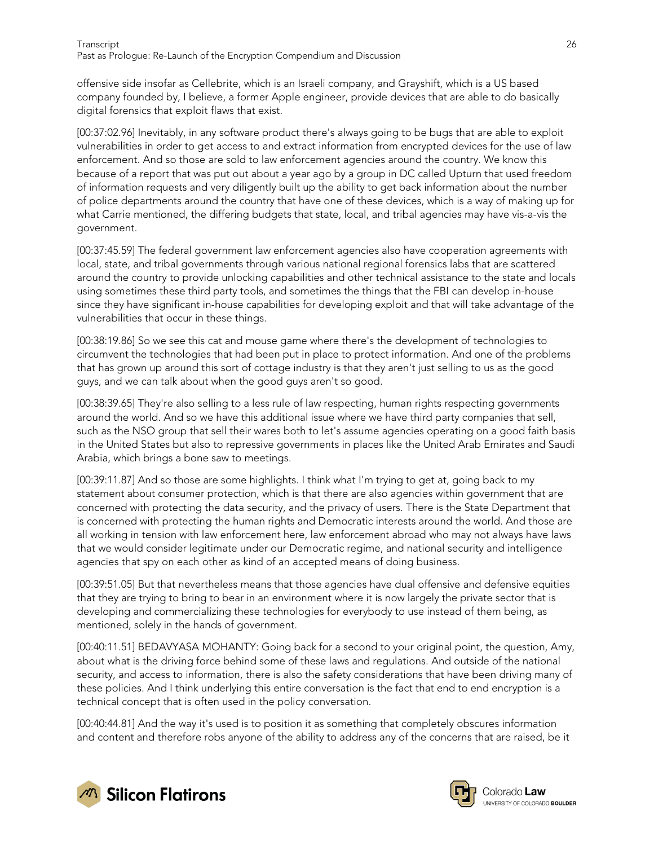offensive side insofar as Cellebrite, which is an Israeli company, and Grayshift, which is a US based company founded by, I believe, a former Apple engineer, provide devices that are able to do basically digital forensics that exploit flaws that exist.

[00:37:02.96] Inevitably, in any software product there's always going to be bugs that are able to exploit vulnerabilities in order to get access to and extract information from encrypted devices for the use of law enforcement. And so those are sold to law enforcement agencies around the country. We know this because of a report that was put out about a year ago by a group in DC called Upturn that used freedom of information requests and very diligently built up the ability to get back information about the number of police departments around the country that have one of these devices, which is a way of making up for what Carrie mentioned, the differing budgets that state, local, and tribal agencies may have vis-a-vis the government.

[00:37:45.59] The federal government law enforcement agencies also have cooperation agreements with local, state, and tribal governments through various national regional forensics labs that are scattered around the country to provide unlocking capabilities and other technical assistance to the state and locals using sometimes these third party tools, and sometimes the things that the FBI can develop in-house since they have significant in-house capabilities for developing exploit and that will take advantage of the vulnerabilities that occur in these things.

[00:38:19.86] So we see this cat and mouse game where there's the development of technologies to circumvent the technologies that had been put in place to protect information. And one of the problems that has grown up around this sort of cottage industry is that they aren't just selling to us as the good guys, and we can talk about when the good guys aren't so good.

[00:38:39.65] They're also selling to a less rule of law respecting, human rights respecting governments around the world. And so we have this additional issue where we have third party companies that sell, such as the NSO group that sell their wares both to let's assume agencies operating on a good faith basis in the United States but also to repressive governments in places like the United Arab Emirates and Saudi Arabia, which brings a bone saw to meetings.

[00:39:11.87] And so those are some highlights. I think what I'm trying to get at, going back to my statement about consumer protection, which is that there are also agencies within government that are concerned with protecting the data security, and the privacy of users. There is the State Department that is concerned with protecting the human rights and Democratic interests around the world. And those are all working in tension with law enforcement here, law enforcement abroad who may not always have laws that we would consider legitimate under our Democratic regime, and national security and intelligence agencies that spy on each other as kind of an accepted means of doing business.

[00:39:51.05] But that nevertheless means that those agencies have dual offensive and defensive equities that they are trying to bring to bear in an environment where it is now largely the private sector that is developing and commercializing these technologies for everybody to use instead of them being, as mentioned, solely in the hands of government.

[00:40:11.51] BEDAVYASA MOHANTY: Going back for a second to your original point, the question, Amy, about what is the driving force behind some of these laws and regulations. And outside of the national security, and access to information, there is also the safety considerations that have been driving many of these policies. And I think underlying this entire conversation is the fact that end to end encryption is a technical concept that is often used in the policy conversation.

[00:40:44.81] And the way it's used is to position it as something that completely obscures information and content and therefore robs anyone of the ability to address any of the concerns that are raised, be it



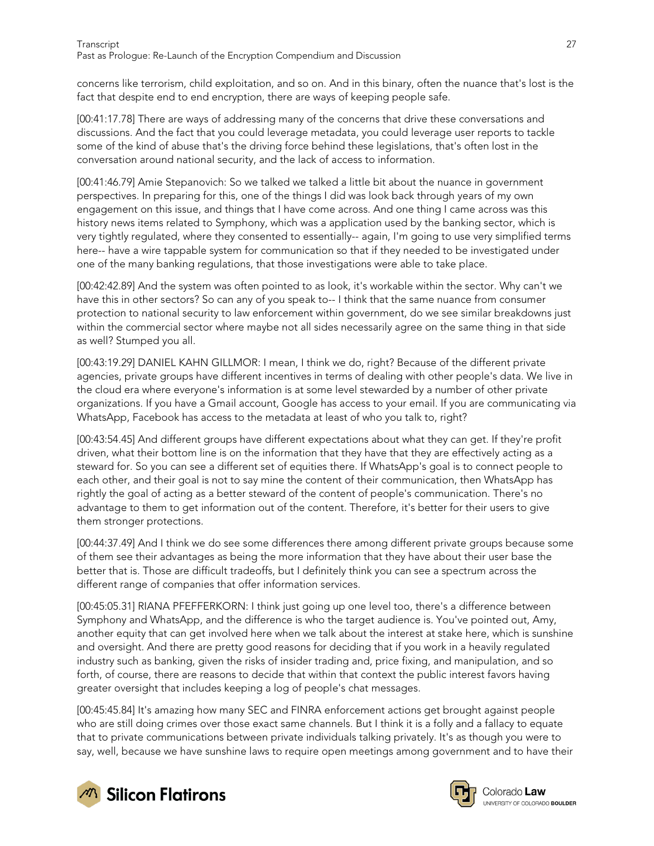concerns like terrorism, child exploitation, and so on. And in this binary, often the nuance that's lost is the fact that despite end to end encryption, there are ways of keeping people safe.

[00:41:17.78] There are ways of addressing many of the concerns that drive these conversations and discussions. And the fact that you could leverage metadata, you could leverage user reports to tackle some of the kind of abuse that's the driving force behind these legislations, that's often lost in the conversation around national security, and the lack of access to information.

[00:41:46.79] Amie Stepanovich: So we talked we talked a little bit about the nuance in government perspectives. In preparing for this, one of the things I did was look back through years of my own engagement on this issue, and things that I have come across. And one thing I came across was this history news items related to Symphony, which was a application used by the banking sector, which is very tightly regulated, where they consented to essentially-- again, I'm going to use very simplified terms here-- have a wire tappable system for communication so that if they needed to be investigated under one of the many banking regulations, that those investigations were able to take place.

[00:42:42.89] And the system was often pointed to as look, it's workable within the sector. Why can't we have this in other sectors? So can any of you speak to-- I think that the same nuance from consumer protection to national security to law enforcement within government, do we see similar breakdowns just within the commercial sector where maybe not all sides necessarily agree on the same thing in that side as well? Stumped you all.

[00:43:19.29] DANIEL KAHN GILLMOR: I mean, I think we do, right? Because of the different private agencies, private groups have different incentives in terms of dealing with other people's data. We live in the cloud era where everyone's information is at some level stewarded by a number of other private organizations. If you have a Gmail account, Google has access to your email. If you are communicating via WhatsApp, Facebook has access to the metadata at least of who you talk to, right?

[00:43:54.45] And different groups have different expectations about what they can get. If they're profit driven, what their bottom line is on the information that they have that they are effectively acting as a steward for. So you can see a different set of equities there. If WhatsApp's goal is to connect people to each other, and their goal is not to say mine the content of their communication, then WhatsApp has rightly the goal of acting as a better steward of the content of people's communication. There's no advantage to them to get information out of the content. Therefore, it's better for their users to give them stronger protections.

[00:44:37.49] And I think we do see some differences there among different private groups because some of them see their advantages as being the more information that they have about their user base the better that is. Those are difficult tradeoffs, but I definitely think you can see a spectrum across the different range of companies that offer information services.

[00:45:05.31] RIANA PFEFFERKORN: I think just going up one level too, there's a difference between Symphony and WhatsApp, and the difference is who the target audience is. You've pointed out, Amy, another equity that can get involved here when we talk about the interest at stake here, which is sunshine and oversight. And there are pretty good reasons for deciding that if you work in a heavily regulated industry such as banking, given the risks of insider trading and, price fixing, and manipulation, and so forth, of course, there are reasons to decide that within that context the public interest favors having greater oversight that includes keeping a log of people's chat messages.

[00:45:45.84] It's amazing how many SEC and FINRA enforcement actions get brought against people who are still doing crimes over those exact same channels. But I think it is a folly and a fallacy to equate that to private communications between private individuals talking privately. It's as though you were to say, well, because we have sunshine laws to require open meetings among government and to have their



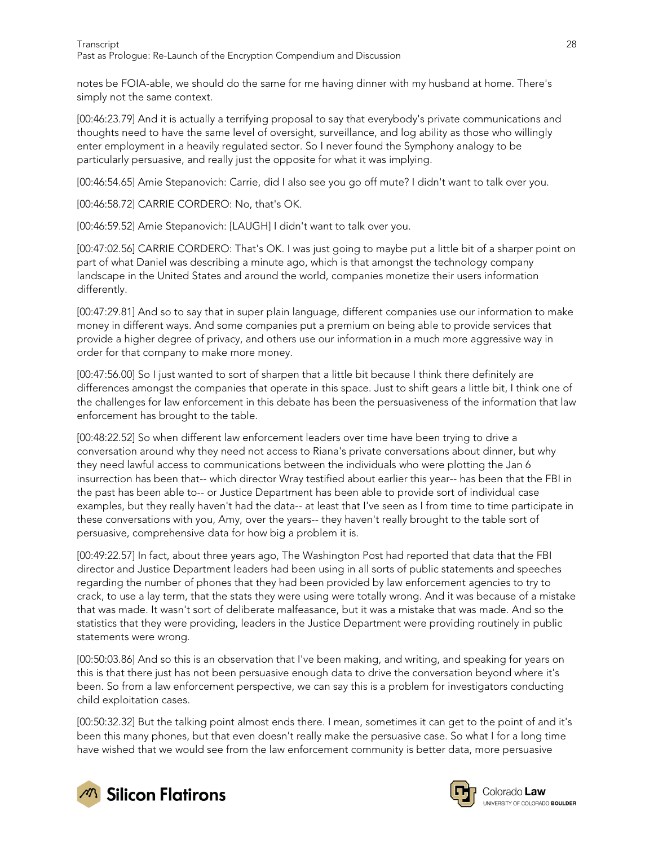notes be FOIA-able, we should do the same for me having dinner with my husband at home. There's simply not the same context.

[00:46:23.79] And it is actually a terrifying proposal to say that everybody's private communications and thoughts need to have the same level of oversight, surveillance, and log ability as those who willingly enter employment in a heavily regulated sector. So I never found the Symphony analogy to be particularly persuasive, and really just the opposite for what it was implying.

[00:46:54.65] Amie Stepanovich: Carrie, did I also see you go off mute? I didn't want to talk over you.

[00:46:58.72] CARRIE CORDERO: No, that's OK.

[00:46:59.52] Amie Stepanovich: [LAUGH] I didn't want to talk over you.

[00:47:02.56] CARRIE CORDERO: That's OK. I was just going to maybe put a little bit of a sharper point on part of what Daniel was describing a minute ago, which is that amongst the technology company landscape in the United States and around the world, companies monetize their users information differently.

[00:47:29.81] And so to say that in super plain language, different companies use our information to make money in different ways. And some companies put a premium on being able to provide services that provide a higher degree of privacy, and others use our information in a much more aggressive way in order for that company to make more money.

[00:47:56.00] So I just wanted to sort of sharpen that a little bit because I think there definitely are differences amongst the companies that operate in this space. Just to shift gears a little bit, I think one of the challenges for law enforcement in this debate has been the persuasiveness of the information that law enforcement has brought to the table.

[00:48:22.52] So when different law enforcement leaders over time have been trying to drive a conversation around why they need not access to Riana's private conversations about dinner, but why they need lawful access to communications between the individuals who were plotting the Jan 6 insurrection has been that-- which director Wray testified about earlier this year-- has been that the FBI in the past has been able to-- or Justice Department has been able to provide sort of individual case examples, but they really haven't had the data-- at least that I've seen as I from time to time participate in these conversations with you, Amy, over the years-- they haven't really brought to the table sort of persuasive, comprehensive data for how big a problem it is.

[00:49:22.57] In fact, about three years ago, The Washington Post had reported that data that the FBI director and Justice Department leaders had been using in all sorts of public statements and speeches regarding the number of phones that they had been provided by law enforcement agencies to try to crack, to use a lay term, that the stats they were using were totally wrong. And it was because of a mistake that was made. It wasn't sort of deliberate malfeasance, but it was a mistake that was made. And so the statistics that they were providing, leaders in the Justice Department were providing routinely in public statements were wrong.

[00:50:03.86] And so this is an observation that I've been making, and writing, and speaking for years on this is that there just has not been persuasive enough data to drive the conversation beyond where it's been. So from a law enforcement perspective, we can say this is a problem for investigators conducting child exploitation cases.

[00:50:32.32] But the talking point almost ends there. I mean, sometimes it can get to the point of and it's been this many phones, but that even doesn't really make the persuasive case. So what I for a long time have wished that we would see from the law enforcement community is better data, more persuasive



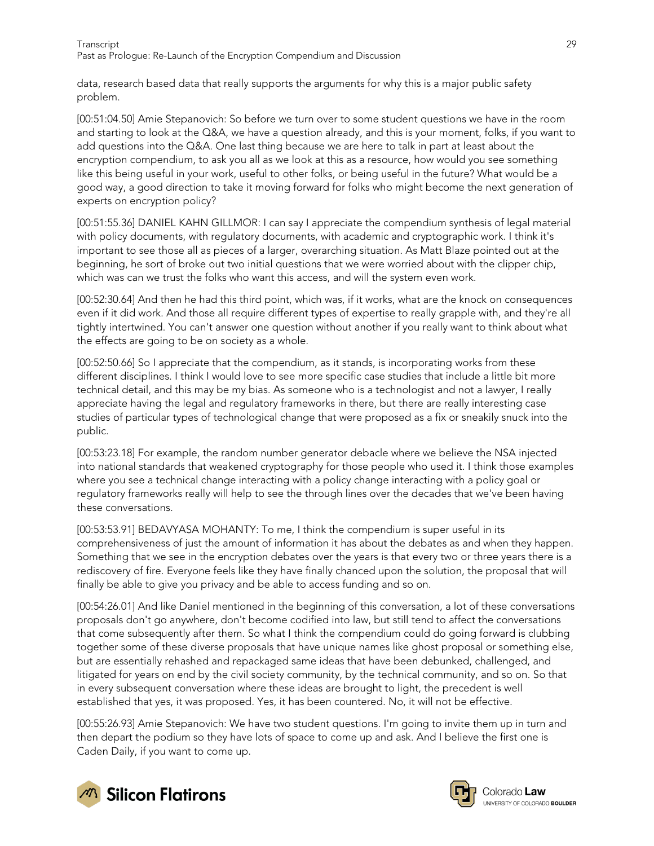data, research based data that really supports the arguments for why this is a major public safety problem.

[00:51:04.50] Amie Stepanovich: So before we turn over to some student questions we have in the room and starting to look at the Q&A, we have a question already, and this is your moment, folks, if you want to add questions into the Q&A. One last thing because we are here to talk in part at least about the encryption compendium, to ask you all as we look at this as a resource, how would you see something like this being useful in your work, useful to other folks, or being useful in the future? What would be a good way, a good direction to take it moving forward for folks who might become the next generation of experts on encryption policy?

[00:51:55.36] DANIEL KAHN GILLMOR: I can say I appreciate the compendium synthesis of legal material with policy documents, with regulatory documents, with academic and cryptographic work. I think it's important to see those all as pieces of a larger, overarching situation. As Matt Blaze pointed out at the beginning, he sort of broke out two initial questions that we were worried about with the clipper chip, which was can we trust the folks who want this access, and will the system even work.

[00:52:30.64] And then he had this third point, which was, if it works, what are the knock on consequences even if it did work. And those all require different types of expertise to really grapple with, and they're all tightly intertwined. You can't answer one question without another if you really want to think about what the effects are going to be on society as a whole.

[00:52:50.66] So I appreciate that the compendium, as it stands, is incorporating works from these different disciplines. I think I would love to see more specific case studies that include a little bit more technical detail, and this may be my bias. As someone who is a technologist and not a lawyer, I really appreciate having the legal and regulatory frameworks in there, but there are really interesting case studies of particular types of technological change that were proposed as a fix or sneakily snuck into the public.

[00:53:23.18] For example, the random number generator debacle where we believe the NSA injected into national standards that weakened cryptography for those people who used it. I think those examples where you see a technical change interacting with a policy change interacting with a policy goal or regulatory frameworks really will help to see the through lines over the decades that we've been having these conversations.

[00:53:53.91] BEDAVYASA MOHANTY: To me, I think the compendium is super useful in its comprehensiveness of just the amount of information it has about the debates as and when they happen. Something that we see in the encryption debates over the years is that every two or three years there is a rediscovery of fire. Everyone feels like they have finally chanced upon the solution, the proposal that will finally be able to give you privacy and be able to access funding and so on.

[00:54:26.01] And like Daniel mentioned in the beginning of this conversation, a lot of these conversations proposals don't go anywhere, don't become codified into law, but still tend to affect the conversations that come subsequently after them. So what I think the compendium could do going forward is clubbing together some of these diverse proposals that have unique names like ghost proposal or something else, but are essentially rehashed and repackaged same ideas that have been debunked, challenged, and litigated for years on end by the civil society community, by the technical community, and so on. So that in every subsequent conversation where these ideas are brought to light, the precedent is well established that yes, it was proposed. Yes, it has been countered. No, it will not be effective.

[00:55:26.93] Amie Stepanovich: We have two student questions. I'm going to invite them up in turn and then depart the podium so they have lots of space to come up and ask. And I believe the first one is Caden Daily, if you want to come up.



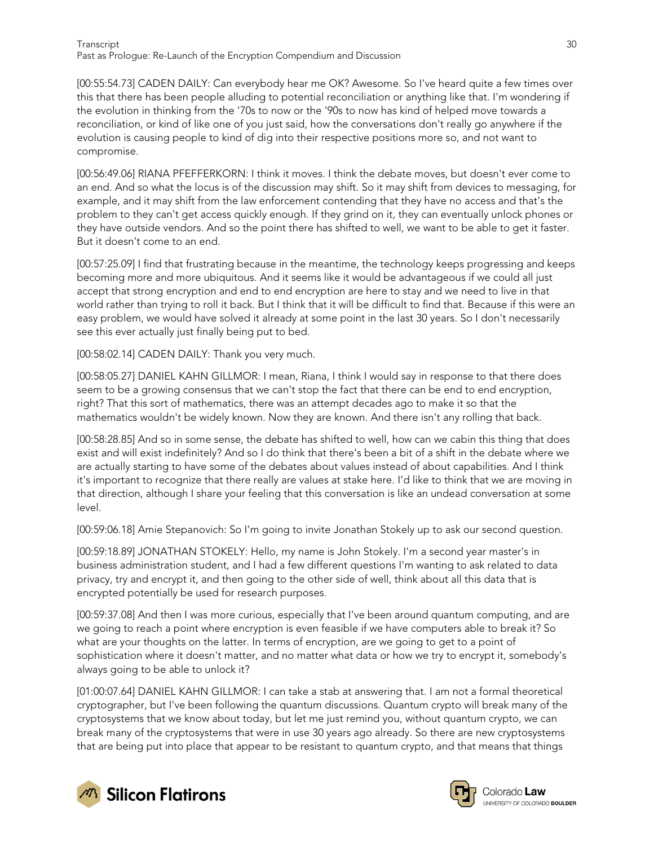### Transcript 30 Past as Prologue: Re-Launch of the Encryption Compendium and Discussion

[00:55:54.73] CADEN DAILY: Can everybody hear me OK? Awesome. So I've heard quite a few times over this that there has been people alluding to potential reconciliation or anything like that. I'm wondering if the evolution in thinking from the '70s to now or the '90s to now has kind of helped move towards a reconciliation, or kind of like one of you just said, how the conversations don't really go anywhere if the evolution is causing people to kind of dig into their respective positions more so, and not want to compromise.

[00:56:49.06] RIANA PFEFFERKORN: I think it moves. I think the debate moves, but doesn't ever come to an end. And so what the locus is of the discussion may shift. So it may shift from devices to messaging, for example, and it may shift from the law enforcement contending that they have no access and that's the problem to they can't get access quickly enough. If they grind on it, they can eventually unlock phones or they have outside vendors. And so the point there has shifted to well, we want to be able to get it faster. But it doesn't come to an end.

[00:57:25.09] I find that frustrating because in the meantime, the technology keeps progressing and keeps becoming more and more ubiquitous. And it seems like it would be advantageous if we could all just accept that strong encryption and end to end encryption are here to stay and we need to live in that world rather than trying to roll it back. But I think that it will be difficult to find that. Because if this were an easy problem, we would have solved it already at some point in the last 30 years. So I don't necessarily see this ever actually just finally being put to bed.

[00:58:02.14] CADEN DAILY: Thank you very much.

[00:58:05.27] DANIEL KAHN GILLMOR: I mean, Riana, I think I would say in response to that there does seem to be a growing consensus that we can't stop the fact that there can be end to end encryption, right? That this sort of mathematics, there was an attempt decades ago to make it so that the mathematics wouldn't be widely known. Now they are known. And there isn't any rolling that back.

[00:58:28.85] And so in some sense, the debate has shifted to well, how can we cabin this thing that does exist and will exist indefinitely? And so I do think that there's been a bit of a shift in the debate where we are actually starting to have some of the debates about values instead of about capabilities. And I think it's important to recognize that there really are values at stake here. I'd like to think that we are moving in that direction, although I share your feeling that this conversation is like an undead conversation at some level.

[00:59:06.18] Amie Stepanovich: So I'm going to invite Jonathan Stokely up to ask our second question.

[00:59:18.89] JONATHAN STOKELY: Hello, my name is John Stokely. I'm a second year master's in business administration student, and I had a few different questions I'm wanting to ask related to data privacy, try and encrypt it, and then going to the other side of well, think about all this data that is encrypted potentially be used for research purposes.

[00:59:37.08] And then I was more curious, especially that I've been around quantum computing, and are we going to reach a point where encryption is even feasible if we have computers able to break it? So what are your thoughts on the latter. In terms of encryption, are we going to get to a point of sophistication where it doesn't matter, and no matter what data or how we try to encrypt it, somebody's always going to be able to unlock it?

[01:00:07.64] DANIEL KAHN GILLMOR: I can take a stab at answering that. I am not a formal theoretical cryptographer, but I've been following the quantum discussions. Quantum crypto will break many of the cryptosystems that we know about today, but let me just remind you, without quantum crypto, we can break many of the cryptosystems that were in use 30 years ago already. So there are new cryptosystems that are being put into place that appear to be resistant to quantum crypto, and that means that things



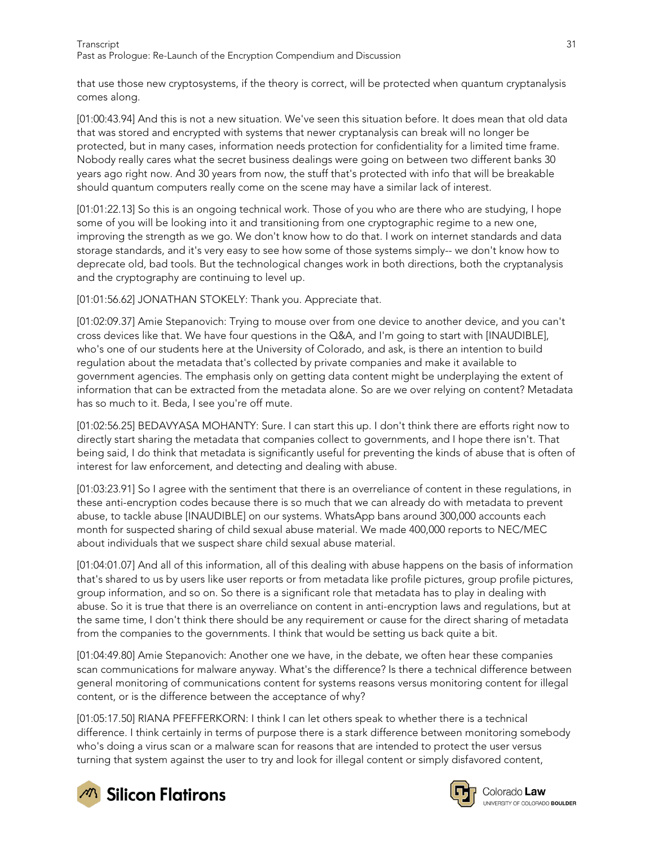that use those new cryptosystems, if the theory is correct, will be protected when quantum cryptanalysis comes along.

[01:00:43.94] And this is not a new situation. We've seen this situation before. It does mean that old data that was stored and encrypted with systems that newer cryptanalysis can break will no longer be protected, but in many cases, information needs protection for confidentiality for a limited time frame. Nobody really cares what the secret business dealings were going on between two different banks 30 years ago right now. And 30 years from now, the stuff that's protected with info that will be breakable should quantum computers really come on the scene may have a similar lack of interest.

[01:01:22.13] So this is an ongoing technical work. Those of you who are there who are studying, I hope some of you will be looking into it and transitioning from one cryptographic regime to a new one, improving the strength as we go. We don't know how to do that. I work on internet standards and data storage standards, and it's very easy to see how some of those systems simply-- we don't know how to deprecate old, bad tools. But the technological changes work in both directions, both the cryptanalysis and the cryptography are continuing to level up.

[01:01:56.62] JONATHAN STOKELY: Thank you. Appreciate that.

[01:02:09.37] Amie Stepanovich: Trying to mouse over from one device to another device, and you can't cross devices like that. We have four questions in the Q&A, and I'm going to start with [INAUDIBLE], who's one of our students here at the University of Colorado, and ask, is there an intention to build regulation about the metadata that's collected by private companies and make it available to government agencies. The emphasis only on getting data content might be underplaying the extent of information that can be extracted from the metadata alone. So are we over relying on content? Metadata has so much to it. Beda, I see you're off mute.

[01:02:56.25] BEDAVYASA MOHANTY: Sure. I can start this up. I don't think there are efforts right now to directly start sharing the metadata that companies collect to governments, and I hope there isn't. That being said, I do think that metadata is significantly useful for preventing the kinds of abuse that is often of interest for law enforcement, and detecting and dealing with abuse.

[01:03:23.91] So I agree with the sentiment that there is an overreliance of content in these regulations, in these anti-encryption codes because there is so much that we can already do with metadata to prevent abuse, to tackle abuse [INAUDIBLE] on our systems. WhatsApp bans around 300,000 accounts each month for suspected sharing of child sexual abuse material. We made 400,000 reports to NEC/MEC about individuals that we suspect share child sexual abuse material.

[01:04:01.07] And all of this information, all of this dealing with abuse happens on the basis of information that's shared to us by users like user reports or from metadata like profile pictures, group profile pictures, group information, and so on. So there is a significant role that metadata has to play in dealing with abuse. So it is true that there is an overreliance on content in anti-encryption laws and regulations, but at the same time, I don't think there should be any requirement or cause for the direct sharing of metadata from the companies to the governments. I think that would be setting us back quite a bit.

[01:04:49.80] Amie Stepanovich: Another one we have, in the debate, we often hear these companies scan communications for malware anyway. What's the difference? Is there a technical difference between general monitoring of communications content for systems reasons versus monitoring content for illegal content, or is the difference between the acceptance of why?

[01:05:17.50] RIANA PFEFFERKORN: I think I can let others speak to whether there is a technical difference. I think certainly in terms of purpose there is a stark difference between monitoring somebody who's doing a virus scan or a malware scan for reasons that are intended to protect the user versus turning that system against the user to try and look for illegal content or simply disfavored content,



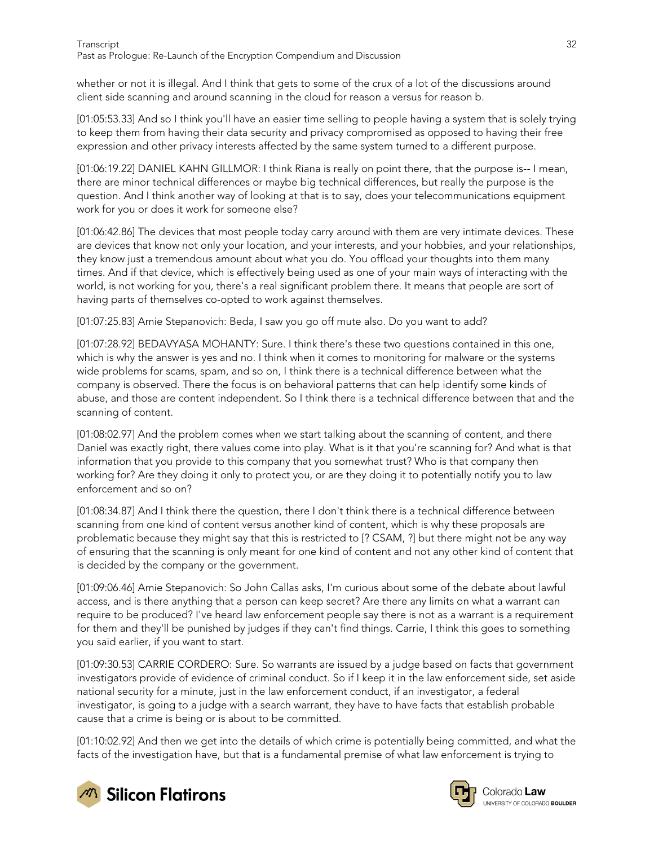whether or not it is illegal. And I think that gets to some of the crux of a lot of the discussions around client side scanning and around scanning in the cloud for reason a versus for reason b.

[01:05:53.33] And so I think you'll have an easier time selling to people having a system that is solely trying to keep them from having their data security and privacy compromised as opposed to having their free expression and other privacy interests affected by the same system turned to a different purpose.

[01:06:19.22] DANIEL KAHN GILLMOR: I think Riana is really on point there, that the purpose is-- I mean, there are minor technical differences or maybe big technical differences, but really the purpose is the question. And I think another way of looking at that is to say, does your telecommunications equipment work for you or does it work for someone else?

[01:06:42.86] The devices that most people today carry around with them are very intimate devices. These are devices that know not only your location, and your interests, and your hobbies, and your relationships, they know just a tremendous amount about what you do. You offload your thoughts into them many times. And if that device, which is effectively being used as one of your main ways of interacting with the world, is not working for you, there's a real significant problem there. It means that people are sort of having parts of themselves co-opted to work against themselves.

[01:07:25.83] Amie Stepanovich: Beda, I saw you go off mute also. Do you want to add?

[01:07:28.92] BEDAVYASA MOHANTY: Sure. I think there's these two questions contained in this one, which is why the answer is yes and no. I think when it comes to monitoring for malware or the systems wide problems for scams, spam, and so on, I think there is a technical difference between what the company is observed. There the focus is on behavioral patterns that can help identify some kinds of abuse, and those are content independent. So I think there is a technical difference between that and the scanning of content.

[01:08:02.97] And the problem comes when we start talking about the scanning of content, and there Daniel was exactly right, there values come into play. What is it that you're scanning for? And what is that information that you provide to this company that you somewhat trust? Who is that company then working for? Are they doing it only to protect you, or are they doing it to potentially notify you to law enforcement and so on?

[01:08:34.87] And I think there the question, there I don't think there is a technical difference between scanning from one kind of content versus another kind of content, which is why these proposals are problematic because they might say that this is restricted to [? CSAM, ?] but there might not be any way of ensuring that the scanning is only meant for one kind of content and not any other kind of content that is decided by the company or the government.

[01:09:06.46] Amie Stepanovich: So John Callas asks, I'm curious about some of the debate about lawful access, and is there anything that a person can keep secret? Are there any limits on what a warrant can require to be produced? I've heard law enforcement people say there is not as a warrant is a requirement for them and they'll be punished by judges if they can't find things. Carrie, I think this goes to something you said earlier, if you want to start.

[01:09:30.53] CARRIE CORDERO: Sure. So warrants are issued by a judge based on facts that government investigators provide of evidence of criminal conduct. So if I keep it in the law enforcement side, set aside national security for a minute, just in the law enforcement conduct, if an investigator, a federal investigator, is going to a judge with a search warrant, they have to have facts that establish probable cause that a crime is being or is about to be committed.

[01:10:02.92] And then we get into the details of which crime is potentially being committed, and what the facts of the investigation have, but that is a fundamental premise of what law enforcement is trying to



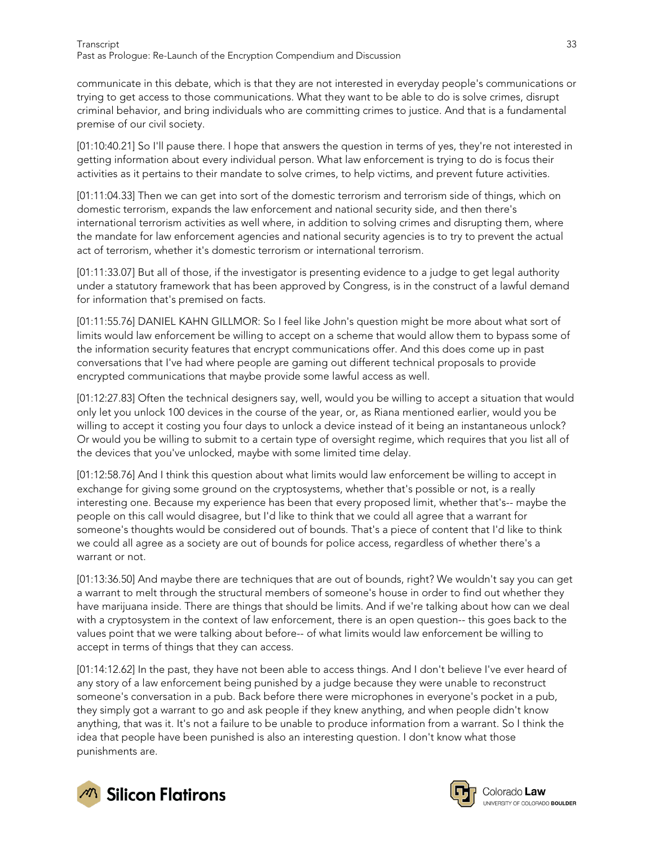## Transcript 33 Past as Prologue: Re-Launch of the Encryption Compendium and Discussion

communicate in this debate, which is that they are not interested in everyday people's communications or trying to get access to those communications. What they want to be able to do is solve crimes, disrupt criminal behavior, and bring individuals who are committing crimes to justice. And that is a fundamental premise of our civil society.

[01:10:40.21] So I'll pause there. I hope that answers the question in terms of yes, they're not interested in getting information about every individual person. What law enforcement is trying to do is focus their activities as it pertains to their mandate to solve crimes, to help victims, and prevent future activities.

[01:11:04.33] Then we can get into sort of the domestic terrorism and terrorism side of things, which on domestic terrorism, expands the law enforcement and national security side, and then there's international terrorism activities as well where, in addition to solving crimes and disrupting them, where the mandate for law enforcement agencies and national security agencies is to try to prevent the actual act of terrorism, whether it's domestic terrorism or international terrorism.

[01:11:33.07] But all of those, if the investigator is presenting evidence to a judge to get legal authority under a statutory framework that has been approved by Congress, is in the construct of a lawful demand for information that's premised on facts.

[01:11:55.76] DANIEL KAHN GILLMOR: So I feel like John's question might be more about what sort of limits would law enforcement be willing to accept on a scheme that would allow them to bypass some of the information security features that encrypt communications offer. And this does come up in past conversations that I've had where people are gaming out different technical proposals to provide encrypted communications that maybe provide some lawful access as well.

[01:12:27.83] Often the technical designers say, well, would you be willing to accept a situation that would only let you unlock 100 devices in the course of the year, or, as Riana mentioned earlier, would you be willing to accept it costing you four days to unlock a device instead of it being an instantaneous unlock? Or would you be willing to submit to a certain type of oversight regime, which requires that you list all of the devices that you've unlocked, maybe with some limited time delay.

[01:12:58.76] And I think this question about what limits would law enforcement be willing to accept in exchange for giving some ground on the cryptosystems, whether that's possible or not, is a really interesting one. Because my experience has been that every proposed limit, whether that's-- maybe the people on this call would disagree, but I'd like to think that we could all agree that a warrant for someone's thoughts would be considered out of bounds. That's a piece of content that I'd like to think we could all agree as a society are out of bounds for police access, regardless of whether there's a warrant or not.

[01:13:36.50] And maybe there are techniques that are out of bounds, right? We wouldn't say you can get a warrant to melt through the structural members of someone's house in order to find out whether they have marijuana inside. There are things that should be limits. And if we're talking about how can we deal with a cryptosystem in the context of law enforcement, there is an open question-- this goes back to the values point that we were talking about before-- of what limits would law enforcement be willing to accept in terms of things that they can access.

[01:14:12.62] In the past, they have not been able to access things. And I don't believe I've ever heard of any story of a law enforcement being punished by a judge because they were unable to reconstruct someone's conversation in a pub. Back before there were microphones in everyone's pocket in a pub, they simply got a warrant to go and ask people if they knew anything, and when people didn't know anything, that was it. It's not a failure to be unable to produce information from a warrant. So I think the idea that people have been punished is also an interesting question. I don't know what those punishments are.



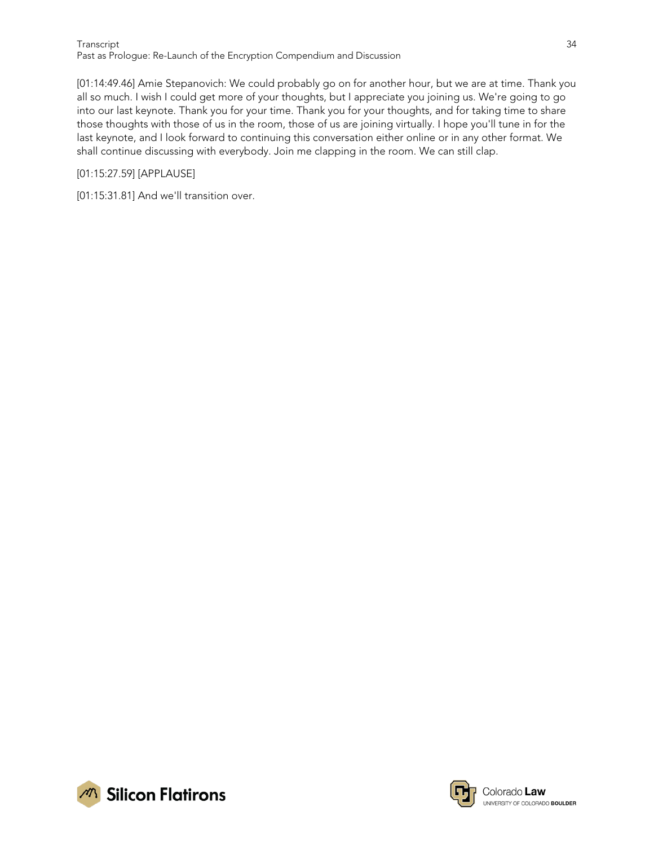### Transcript 34 Past as Prologue: Re-Launch of the Encryption Compendium and Discussion

[01:14:49.46] Amie Stepanovich: We could probably go on for another hour, but we are at time. Thank you all so much. I wish I could get more of your thoughts, but I appreciate you joining us. We're going to go into our last keynote. Thank you for your time. Thank you for your thoughts, and for taking time to share those thoughts with those of us in the room, those of us are joining virtually. I hope you'll tune in for the last keynote, and I look forward to continuing this conversation either online or in any other format. We shall continue discussing with everybody. Join me clapping in the room. We can still clap.

[01:15:27.59] [APPLAUSE]

[01:15:31.81] And we'll transition over.



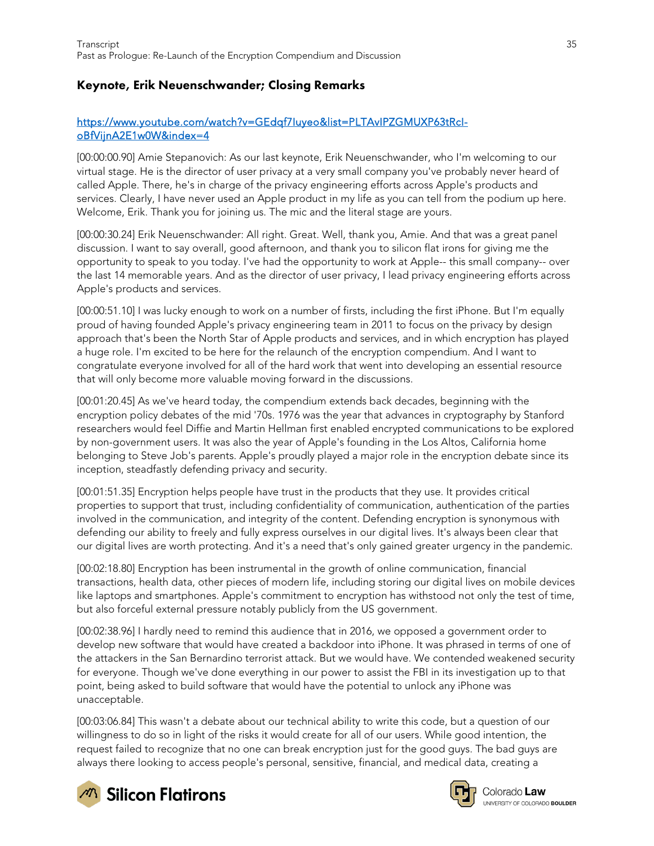# <span id="page-34-0"></span>Keynote, Erik Neuenschwander; Closing Remarks

# [https://www.youtube.com/watch?v=GEdqf7Iuyeo&list=PLTAvIPZGMUXP63tRcI](https://www.youtube.com/watch?v=GEdqf7Iuyeo&list=PLTAvIPZGMUXP63tRcI-oBfVijnA2E1w0W&index=4)[oBfVijnA2E1w0W&index=4](https://www.youtube.com/watch?v=GEdqf7Iuyeo&list=PLTAvIPZGMUXP63tRcI-oBfVijnA2E1w0W&index=4)

[00:00:00.90] Amie Stepanovich: As our last keynote, Erik Neuenschwander, who I'm welcoming to our virtual stage. He is the director of user privacy at a very small company you've probably never heard of called Apple. There, he's in charge of the privacy engineering efforts across Apple's products and services. Clearly, I have never used an Apple product in my life as you can tell from the podium up here. Welcome, Erik. Thank you for joining us. The mic and the literal stage are yours.

[00:00:30.24] Erik Neuenschwander: All right. Great. Well, thank you, Amie. And that was a great panel discussion. I want to say overall, good afternoon, and thank you to silicon flat irons for giving me the opportunity to speak to you today. I've had the opportunity to work at Apple-- this small company-- over the last 14 memorable years. And as the director of user privacy, I lead privacy engineering efforts across Apple's products and services.

[00:00:51.10] I was lucky enough to work on a number of firsts, including the first iPhone. But I'm equally proud of having founded Apple's privacy engineering team in 2011 to focus on the privacy by design approach that's been the North Star of Apple products and services, and in which encryption has played a huge role. I'm excited to be here for the relaunch of the encryption compendium. And I want to congratulate everyone involved for all of the hard work that went into developing an essential resource that will only become more valuable moving forward in the discussions.

[00:01:20.45] As we've heard today, the compendium extends back decades, beginning with the encryption policy debates of the mid '70s. 1976 was the year that advances in cryptography by Stanford researchers would feel Diffie and Martin Hellman first enabled encrypted communications to be explored by non-government users. It was also the year of Apple's founding in the Los Altos, California home belonging to Steve Job's parents. Apple's proudly played a major role in the encryption debate since its inception, steadfastly defending privacy and security.

[00:01:51.35] Encryption helps people have trust in the products that they use. It provides critical properties to support that trust, including confidentiality of communication, authentication of the parties involved in the communication, and integrity of the content. Defending encryption is synonymous with defending our ability to freely and fully express ourselves in our digital lives. It's always been clear that our digital lives are worth protecting. And it's a need that's only gained greater urgency in the pandemic.

[00:02:18.80] Encryption has been instrumental in the growth of online communication, financial transactions, health data, other pieces of modern life, including storing our digital lives on mobile devices like laptops and smartphones. Apple's commitment to encryption has withstood not only the test of time, but also forceful external pressure notably publicly from the US government.

[00:02:38.96] I hardly need to remind this audience that in 2016, we opposed a government order to develop new software that would have created a backdoor into iPhone. It was phrased in terms of one of the attackers in the San Bernardino terrorist attack. But we would have. We contended weakened security for everyone. Though we've done everything in our power to assist the FBI in its investigation up to that point, being asked to build software that would have the potential to unlock any iPhone was unacceptable.

[00:03:06.84] This wasn't a debate about our technical ability to write this code, but a question of our willingness to do so in light of the risks it would create for all of our users. While good intention, the request failed to recognize that no one can break encryption just for the good guys. The bad guys are always there looking to access people's personal, sensitive, financial, and medical data, creating a



**M** Silicon Flatirons

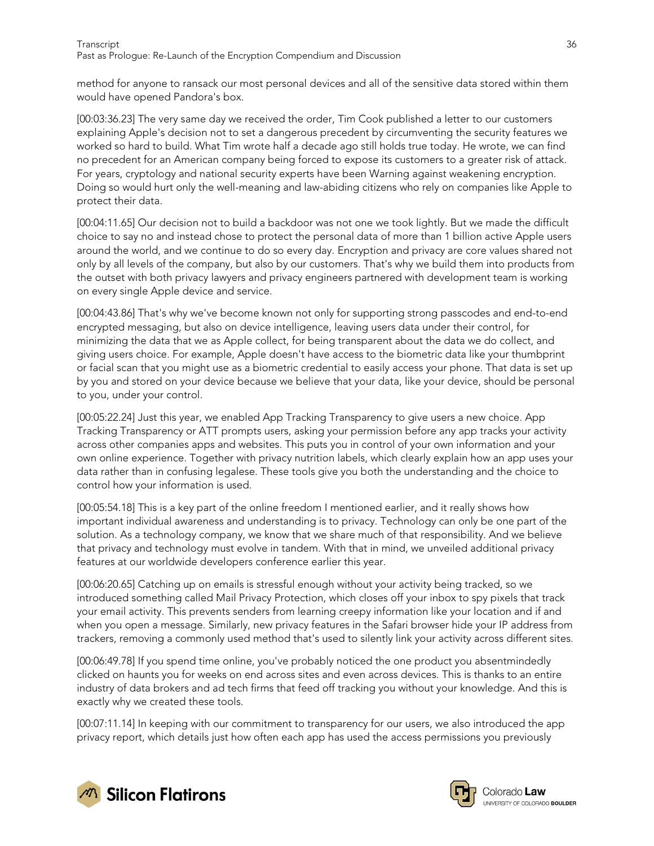method for anyone to ransack our most personal devices and all of the sensitive data stored within them would have opened Pandora's box.

[00:03:36.23] The very same day we received the order, Tim Cook published a letter to our customers explaining Apple's decision not to set a dangerous precedent by circumventing the security features we worked so hard to build. What Tim wrote half a decade ago still holds true today. He wrote, we can find no precedent for an American company being forced to expose its customers to a greater risk of attack. For years, cryptology and national security experts have been Warning against weakening encryption. Doing so would hurt only the well-meaning and law-abiding citizens who rely on companies like Apple to protect their data.

[00:04:11.65] Our decision not to build a backdoor was not one we took lightly. But we made the difficult choice to say no and instead chose to protect the personal data of more than 1 billion active Apple users around the world, and we continue to do so every day. Encryption and privacy are core values shared not only by all levels of the company, but also by our customers. That's why we build them into products from the outset with both privacy lawyers and privacy engineers partnered with development team is working on every single Apple device and service.

[00:04:43.86] That's why we've become known not only for supporting strong passcodes and end-to-end encrypted messaging, but also on device intelligence, leaving users data under their control, for minimizing the data that we as Apple collect, for being transparent about the data we do collect, and giving users choice. For example, Apple doesn't have access to the biometric data like your thumbprint or facial scan that you might use as a biometric credential to easily access your phone. That data is set up by you and stored on your device because we believe that your data, like your device, should be personal to you, under your control.

[00:05:22.24] Just this year, we enabled App Tracking Transparency to give users a new choice. App Tracking Transparency or ATT prompts users, asking your permission before any app tracks your activity across other companies apps and websites. This puts you in control of your own information and your own online experience. Together with privacy nutrition labels, which clearly explain how an app uses your data rather than in confusing legalese. These tools give you both the understanding and the choice to control how your information is used.

[00:05:54.18] This is a key part of the online freedom I mentioned earlier, and it really shows how important individual awareness and understanding is to privacy. Technology can only be one part of the solution. As a technology company, we know that we share much of that responsibility. And we believe that privacy and technology must evolve in tandem. With that in mind, we unveiled additional privacy features at our worldwide developers conference earlier this year.

[00:06:20.65] Catching up on emails is stressful enough without your activity being tracked, so we introduced something called Mail Privacy Protection, which closes off your inbox to spy pixels that track your email activity. This prevents senders from learning creepy information like your location and if and when you open a message. Similarly, new privacy features in the Safari browser hide your IP address from trackers, removing a commonly used method that's used to silently link your activity across different sites.

[00:06:49.78] If you spend time online, you've probably noticed the one product you absentmindedly clicked on haunts you for weeks on end across sites and even across devices. This is thanks to an entire industry of data brokers and ad tech firms that feed off tracking you without your knowledge. And this is exactly why we created these tools.

[00:07:11.14] In keeping with our commitment to transparency for our users, we also introduced the app privacy report, which details just how often each app has used the access permissions you previously



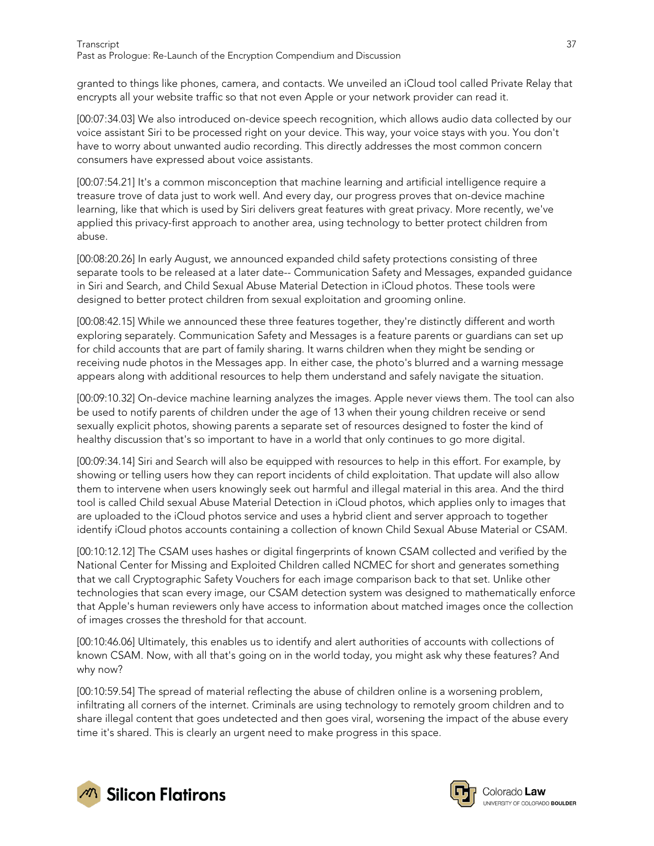granted to things like phones, camera, and contacts. We unveiled an iCloud tool called Private Relay that encrypts all your website traffic so that not even Apple or your network provider can read it.

[00:07:34.03] We also introduced on-device speech recognition, which allows audio data collected by our voice assistant Siri to be processed right on your device. This way, your voice stays with you. You don't have to worry about unwanted audio recording. This directly addresses the most common concern consumers have expressed about voice assistants.

[00:07:54.21] It's a common misconception that machine learning and artificial intelligence require a treasure trove of data just to work well. And every day, our progress proves that on-device machine learning, like that which is used by Siri delivers great features with great privacy. More recently, we've applied this privacy-first approach to another area, using technology to better protect children from abuse.

[00:08:20.26] In early August, we announced expanded child safety protections consisting of three separate tools to be released at a later date-- Communication Safety and Messages, expanded guidance in Siri and Search, and Child Sexual Abuse Material Detection in iCloud photos. These tools were designed to better protect children from sexual exploitation and grooming online.

[00:08:42.15] While we announced these three features together, they're distinctly different and worth exploring separately. Communication Safety and Messages is a feature parents or guardians can set up for child accounts that are part of family sharing. It warns children when they might be sending or receiving nude photos in the Messages app. In either case, the photo's blurred and a warning message appears along with additional resources to help them understand and safely navigate the situation.

[00:09:10.32] On-device machine learning analyzes the images. Apple never views them. The tool can also be used to notify parents of children under the age of 13 when their young children receive or send sexually explicit photos, showing parents a separate set of resources designed to foster the kind of healthy discussion that's so important to have in a world that only continues to go more digital.

[00:09:34.14] Siri and Search will also be equipped with resources to help in this effort. For example, by showing or telling users how they can report incidents of child exploitation. That update will also allow them to intervene when users knowingly seek out harmful and illegal material in this area. And the third tool is called Child sexual Abuse Material Detection in iCloud photos, which applies only to images that are uploaded to the iCloud photos service and uses a hybrid client and server approach to together identify iCloud photos accounts containing a collection of known Child Sexual Abuse Material or CSAM.

[00:10:12.12] The CSAM uses hashes or digital fingerprints of known CSAM collected and verified by the National Center for Missing and Exploited Children called NCMEC for short and generates something that we call Cryptographic Safety Vouchers for each image comparison back to that set. Unlike other technologies that scan every image, our CSAM detection system was designed to mathematically enforce that Apple's human reviewers only have access to information about matched images once the collection of images crosses the threshold for that account.

[00:10:46.06] Ultimately, this enables us to identify and alert authorities of accounts with collections of known CSAM. Now, with all that's going on in the world today, you might ask why these features? And why now?

[00:10:59.54] The spread of material reflecting the abuse of children online is a worsening problem, infiltrating all corners of the internet. Criminals are using technology to remotely groom children and to share illegal content that goes undetected and then goes viral, worsening the impact of the abuse every time it's shared. This is clearly an urgent need to make progress in this space.



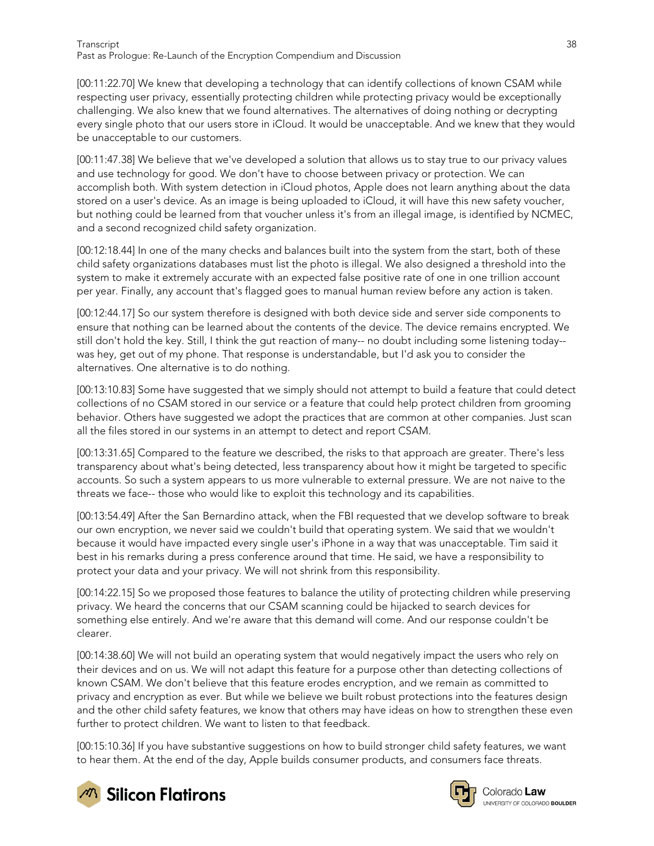## Transcript 38 Past as Prologue: Re-Launch of the Encryption Compendium and Discussion

[00:11:22.70] We knew that developing a technology that can identify collections of known CSAM while respecting user privacy, essentially protecting children while protecting privacy would be exceptionally challenging. We also knew that we found alternatives. The alternatives of doing nothing or decrypting every single photo that our users store in iCloud. It would be unacceptable. And we knew that they would be unacceptable to our customers.

[00:11:47.38] We believe that we've developed a solution that allows us to stay true to our privacy values and use technology for good. We don't have to choose between privacy or protection. We can accomplish both. With system detection in iCloud photos, Apple does not learn anything about the data stored on a user's device. As an image is being uploaded to iCloud, it will have this new safety voucher, but nothing could be learned from that voucher unless it's from an illegal image, is identified by NCMEC, and a second recognized child safety organization.

[00:12:18.44] In one of the many checks and balances built into the system from the start, both of these child safety organizations databases must list the photo is illegal. We also designed a threshold into the system to make it extremely accurate with an expected false positive rate of one in one trillion account per year. Finally, any account that's flagged goes to manual human review before any action is taken.

[00:12:44.17] So our system therefore is designed with both device side and server side components to ensure that nothing can be learned about the contents of the device. The device remains encrypted. We still don't hold the key. Still, I think the gut reaction of many-- no doubt including some listening today- was hey, get out of my phone. That response is understandable, but I'd ask you to consider the alternatives. One alternative is to do nothing.

[00:13:10.83] Some have suggested that we simply should not attempt to build a feature that could detect collections of no CSAM stored in our service or a feature that could help protect children from grooming behavior. Others have suggested we adopt the practices that are common at other companies. Just scan all the files stored in our systems in an attempt to detect and report CSAM.

[00:13:31.65] Compared to the feature we described, the risks to that approach are greater. There's less transparency about what's being detected, less transparency about how it might be targeted to specific accounts. So such a system appears to us more vulnerable to external pressure. We are not naive to the threats we face-- those who would like to exploit this technology and its capabilities.

[00:13:54.49] After the San Bernardino attack, when the FBI requested that we develop software to break our own encryption, we never said we couldn't build that operating system. We said that we wouldn't because it would have impacted every single user's iPhone in a way that was unacceptable. Tim said it best in his remarks during a press conference around that time. He said, we have a responsibility to protect your data and your privacy. We will not shrink from this responsibility.

[00:14:22.15] So we proposed those features to balance the utility of protecting children while preserving privacy. We heard the concerns that our CSAM scanning could be hijacked to search devices for something else entirely. And we're aware that this demand will come. And our response couldn't be clearer.

[00:14:38.60] We will not build an operating system that would negatively impact the users who rely on their devices and on us. We will not adapt this feature for a purpose other than detecting collections of known CSAM. We don't believe that this feature erodes encryption, and we remain as committed to privacy and encryption as ever. But while we believe we built robust protections into the features design and the other child safety features, we know that others may have ideas on how to strengthen these even further to protect children. We want to listen to that feedback.

[00:15:10.36] If you have substantive suggestions on how to build stronger child safety features, we want to hear them. At the end of the day, Apple builds consumer products, and consumers face threats.



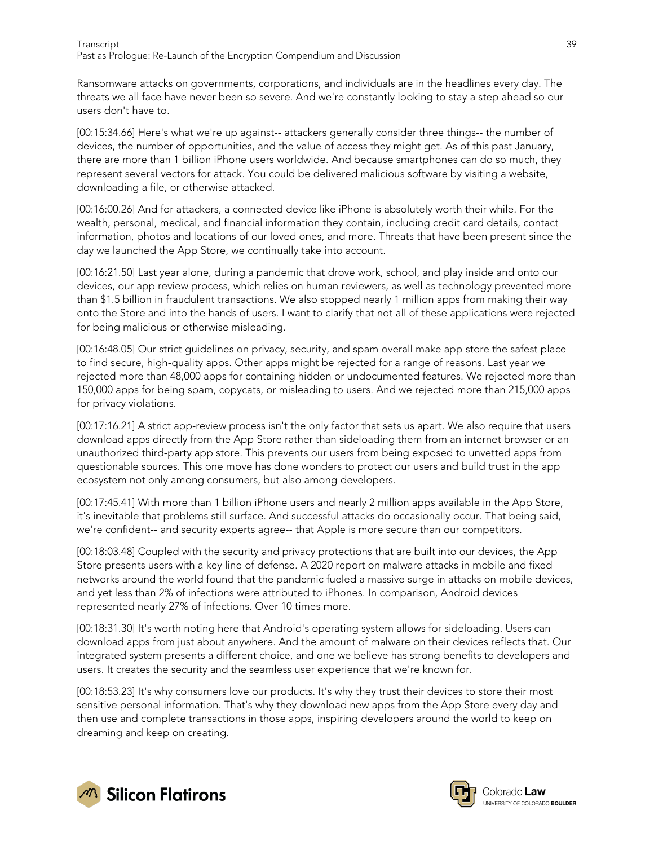Ransomware attacks on governments, corporations, and individuals are in the headlines every day. The threats we all face have never been so severe. And we're constantly looking to stay a step ahead so our users don't have to.

[00:15:34.66] Here's what we're up against-- attackers generally consider three things-- the number of devices, the number of opportunities, and the value of access they might get. As of this past January, there are more than 1 billion iPhone users worldwide. And because smartphones can do so much, they represent several vectors for attack. You could be delivered malicious software by visiting a website, downloading a file, or otherwise attacked.

[00:16:00.26] And for attackers, a connected device like iPhone is absolutely worth their while. For the wealth, personal, medical, and financial information they contain, including credit card details, contact information, photos and locations of our loved ones, and more. Threats that have been present since the day we launched the App Store, we continually take into account.

[00:16:21.50] Last year alone, during a pandemic that drove work, school, and play inside and onto our devices, our app review process, which relies on human reviewers, as well as technology prevented more than \$1.5 billion in fraudulent transactions. We also stopped nearly 1 million apps from making their way onto the Store and into the hands of users. I want to clarify that not all of these applications were rejected for being malicious or otherwise misleading.

[00:16:48.05] Our strict guidelines on privacy, security, and spam overall make app store the safest place to find secure, high-quality apps. Other apps might be rejected for a range of reasons. Last year we rejected more than 48,000 apps for containing hidden or undocumented features. We rejected more than 150,000 apps for being spam, copycats, or misleading to users. And we rejected more than 215,000 apps for privacy violations.

[00:17:16.21] A strict app-review process isn't the only factor that sets us apart. We also require that users download apps directly from the App Store rather than sideloading them from an internet browser or an unauthorized third-party app store. This prevents our users from being exposed to unvetted apps from questionable sources. This one move has done wonders to protect our users and build trust in the app ecosystem not only among consumers, but also among developers.

[00:17:45.41] With more than 1 billion iPhone users and nearly 2 million apps available in the App Store, it's inevitable that problems still surface. And successful attacks do occasionally occur. That being said, we're confident-- and security experts agree-- that Apple is more secure than our competitors.

[00:18:03.48] Coupled with the security and privacy protections that are built into our devices, the App Store presents users with a key line of defense. A 2020 report on malware attacks in mobile and fixed networks around the world found that the pandemic fueled a massive surge in attacks on mobile devices, and yet less than 2% of infections were attributed to iPhones. In comparison, Android devices represented nearly 27% of infections. Over 10 times more.

[00:18:31.30] It's worth noting here that Android's operating system allows for sideloading. Users can download apps from just about anywhere. And the amount of malware on their devices reflects that. Our integrated system presents a different choice, and one we believe has strong benefits to developers and users. It creates the security and the seamless user experience that we're known for.

[00:18:53.23] It's why consumers love our products. It's why they trust their devices to store their most sensitive personal information. That's why they download new apps from the App Store every day and then use and complete transactions in those apps, inspiring developers around the world to keep on dreaming and keep on creating.



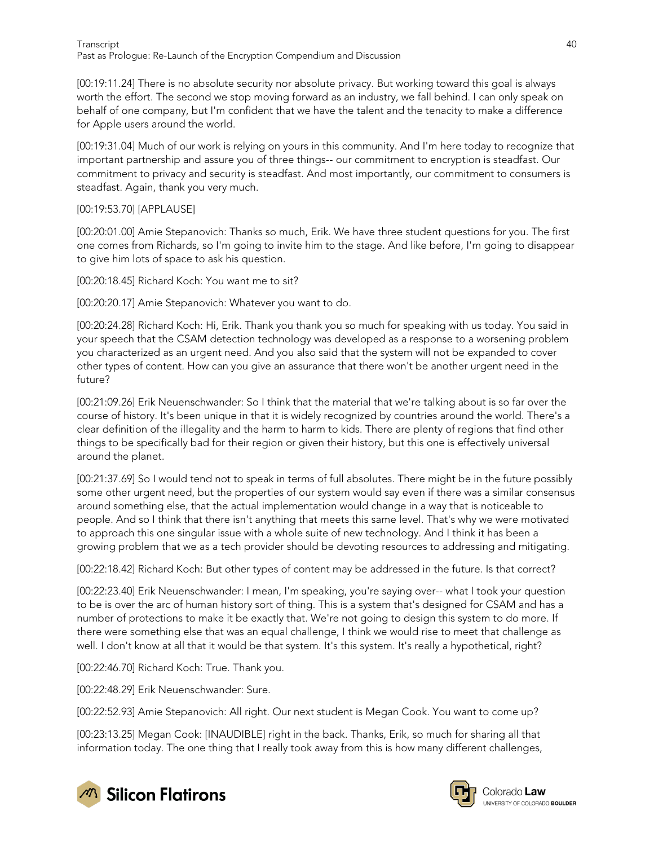## Transcript 40 Past as Prologue: Re-Launch of the Encryption Compendium and Discussion

[00:19:11.24] There is no absolute security nor absolute privacy. But working toward this goal is always worth the effort. The second we stop moving forward as an industry, we fall behind. I can only speak on behalf of one company, but I'm confident that we have the talent and the tenacity to make a difference for Apple users around the world.

[00:19:31.04] Much of our work is relying on yours in this community. And I'm here today to recognize that important partnership and assure you of three things-- our commitment to encryption is steadfast. Our commitment to privacy and security is steadfast. And most importantly, our commitment to consumers is steadfast. Again, thank you very much.

## [00:19:53.70] [APPLAUSE]

[00:20:01.00] Amie Stepanovich: Thanks so much, Erik. We have three student questions for you. The first one comes from Richards, so I'm going to invite him to the stage. And like before, I'm going to disappear to give him lots of space to ask his question.

[00:20:18.45] Richard Koch: You want me to sit?

[00:20:20.17] Amie Stepanovich: Whatever you want to do.

[00:20:24.28] Richard Koch: Hi, Erik. Thank you thank you so much for speaking with us today. You said in your speech that the CSAM detection technology was developed as a response to a worsening problem you characterized as an urgent need. And you also said that the system will not be expanded to cover other types of content. How can you give an assurance that there won't be another urgent need in the future?

[00:21:09.26] Erik Neuenschwander: So I think that the material that we're talking about is so far over the course of history. It's been unique in that it is widely recognized by countries around the world. There's a clear definition of the illegality and the harm to harm to kids. There are plenty of regions that find other things to be specifically bad for their region or given their history, but this one is effectively universal around the planet.

[00:21:37.69] So I would tend not to speak in terms of full absolutes. There might be in the future possibly some other urgent need, but the properties of our system would say even if there was a similar consensus around something else, that the actual implementation would change in a way that is noticeable to people. And so I think that there isn't anything that meets this same level. That's why we were motivated to approach this one singular issue with a whole suite of new technology. And I think it has been a growing problem that we as a tech provider should be devoting resources to addressing and mitigating.

[00:22:18.42] Richard Koch: But other types of content may be addressed in the future. Is that correct?

[00:22:23.40] Erik Neuenschwander: I mean, I'm speaking, you're saying over-- what I took your question to be is over the arc of human history sort of thing. This is a system that's designed for CSAM and has a number of protections to make it be exactly that. We're not going to design this system to do more. If there were something else that was an equal challenge, I think we would rise to meet that challenge as well. I don't know at all that it would be that system. It's this system. It's really a hypothetical, right?

[00:22:46.70] Richard Koch: True. Thank you.

[00:22:48.29] Erik Neuenschwander: Sure.

[00:22:52.93] Amie Stepanovich: All right. Our next student is Megan Cook. You want to come up?

[00:23:13.25] Megan Cook: [INAUDIBLE] right in the back. Thanks, Erik, so much for sharing all that information today. The one thing that I really took away from this is how many different challenges,



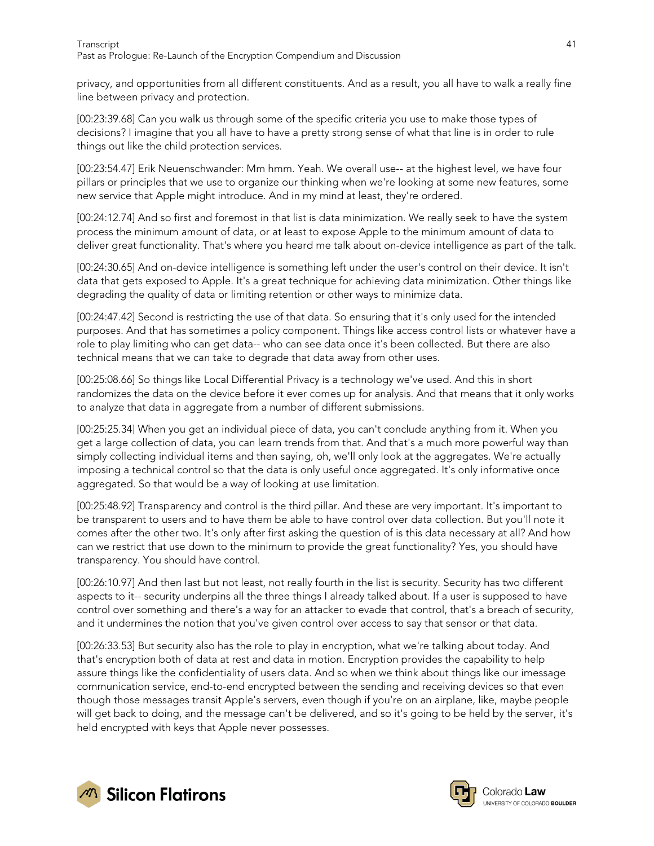privacy, and opportunities from all different constituents. And as a result, you all have to walk a really fine line between privacy and protection.

[00:23:39.68] Can you walk us through some of the specific criteria you use to make those types of decisions? I imagine that you all have to have a pretty strong sense of what that line is in order to rule things out like the child protection services.

[00:23:54.47] Erik Neuenschwander: Mm hmm. Yeah. We overall use-- at the highest level, we have four pillars or principles that we use to organize our thinking when we're looking at some new features, some new service that Apple might introduce. And in my mind at least, they're ordered.

[00:24:12.74] And so first and foremost in that list is data minimization. We really seek to have the system process the minimum amount of data, or at least to expose Apple to the minimum amount of data to deliver great functionality. That's where you heard me talk about on-device intelligence as part of the talk.

[00:24:30.65] And on-device intelligence is something left under the user's control on their device. It isn't data that gets exposed to Apple. It's a great technique for achieving data minimization. Other things like degrading the quality of data or limiting retention or other ways to minimize data.

[00:24:47.42] Second is restricting the use of that data. So ensuring that it's only used for the intended purposes. And that has sometimes a policy component. Things like access control lists or whatever have a role to play limiting who can get data-- who can see data once it's been collected. But there are also technical means that we can take to degrade that data away from other uses.

[00:25:08.66] So things like Local Differential Privacy is a technology we've used. And this in short randomizes the data on the device before it ever comes up for analysis. And that means that it only works to analyze that data in aggregate from a number of different submissions.

[00:25:25.34] When you get an individual piece of data, you can't conclude anything from it. When you get a large collection of data, you can learn trends from that. And that's a much more powerful way than simply collecting individual items and then saying, oh, we'll only look at the aggregates. We're actually imposing a technical control so that the data is only useful once aggregated. It's only informative once aggregated. So that would be a way of looking at use limitation.

[00:25:48.92] Transparency and control is the third pillar. And these are very important. It's important to be transparent to users and to have them be able to have control over data collection. But you'll note it comes after the other two. It's only after first asking the question of is this data necessary at all? And how can we restrict that use down to the minimum to provide the great functionality? Yes, you should have transparency. You should have control.

[00:26:10.97] And then last but not least, not really fourth in the list is security. Security has two different aspects to it-- security underpins all the three things I already talked about. If a user is supposed to have control over something and there's a way for an attacker to evade that control, that's a breach of security, and it undermines the notion that you've given control over access to say that sensor or that data.

[00:26:33.53] But security also has the role to play in encryption, what we're talking about today. And that's encryption both of data at rest and data in motion. Encryption provides the capability to help assure things like the confidentiality of users data. And so when we think about things like our imessage communication service, end-to-end encrypted between the sending and receiving devices so that even though those messages transit Apple's servers, even though if you're on an airplane, like, maybe people will get back to doing, and the message can't be delivered, and so it's going to be held by the server, it's held encrypted with keys that Apple never possesses.

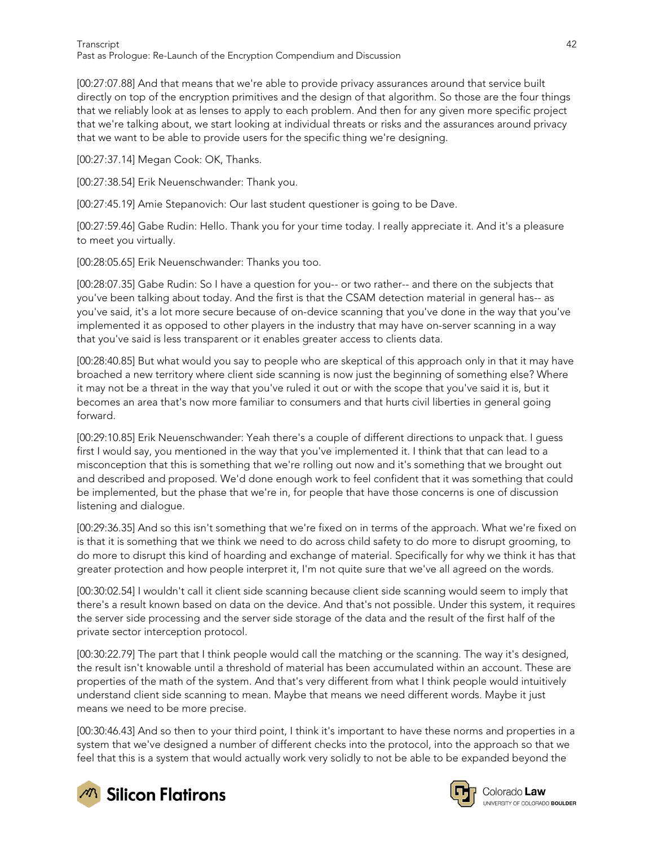[00:27:07.88] And that means that we're able to provide privacy assurances around that service built directly on top of the encryption primitives and the design of that algorithm. So those are the four things that we reliably look at as lenses to apply to each problem. And then for any given more specific project that we're talking about, we start looking at individual threats or risks and the assurances around privacy that we want to be able to provide users for the specific thing we're designing.

[00:27:37.14] Megan Cook: OK, Thanks.

[00:27:38.54] Erik Neuenschwander: Thank you.

[00:27:45.19] Amie Stepanovich: Our last student questioner is going to be Dave.

[00:27:59.46] Gabe Rudin: Hello. Thank you for your time today. I really appreciate it. And it's a pleasure to meet you virtually.

[00:28:05.65] Erik Neuenschwander: Thanks you too.

[00:28:07.35] Gabe Rudin: So I have a question for you-- or two rather-- and there on the subjects that you've been talking about today. And the first is that the CSAM detection material in general has-- as you've said, it's a lot more secure because of on-device scanning that you've done in the way that you've implemented it as opposed to other players in the industry that may have on-server scanning in a way that you've said is less transparent or it enables greater access to clients data.

[00:28:40.85] But what would you say to people who are skeptical of this approach only in that it may have broached a new territory where client side scanning is now just the beginning of something else? Where it may not be a threat in the way that you've ruled it out or with the scope that you've said it is, but it becomes an area that's now more familiar to consumers and that hurts civil liberties in general going forward.

[00:29:10.85] Erik Neuenschwander: Yeah there's a couple of different directions to unpack that. I guess first I would say, you mentioned in the way that you've implemented it. I think that that can lead to a misconception that this is something that we're rolling out now and it's something that we brought out and described and proposed. We'd done enough work to feel confident that it was something that could be implemented, but the phase that we're in, for people that have those concerns is one of discussion listening and dialogue.

[00:29:36.35] And so this isn't something that we're fixed on in terms of the approach. What we're fixed on is that it is something that we think we need to do across child safety to do more to disrupt grooming, to do more to disrupt this kind of hoarding and exchange of material. Specifically for why we think it has that greater protection and how people interpret it, I'm not quite sure that we've all agreed on the words.

[00:30:02.54] I wouldn't call it client side scanning because client side scanning would seem to imply that there's a result known based on data on the device. And that's not possible. Under this system, it requires the server side processing and the server side storage of the data and the result of the first half of the private sector interception protocol.

[00:30:22.79] The part that I think people would call the matching or the scanning. The way it's designed, the result isn't knowable until a threshold of material has been accumulated within an account. These are properties of the math of the system. And that's very different from what I think people would intuitively understand client side scanning to mean. Maybe that means we need different words. Maybe it just means we need to be more precise.

[00:30:46.43] And so then to your third point, I think it's important to have these norms and properties in a system that we've designed a number of different checks into the protocol, into the approach so that we feel that this is a system that would actually work very solidly to not be able to be expanded beyond the



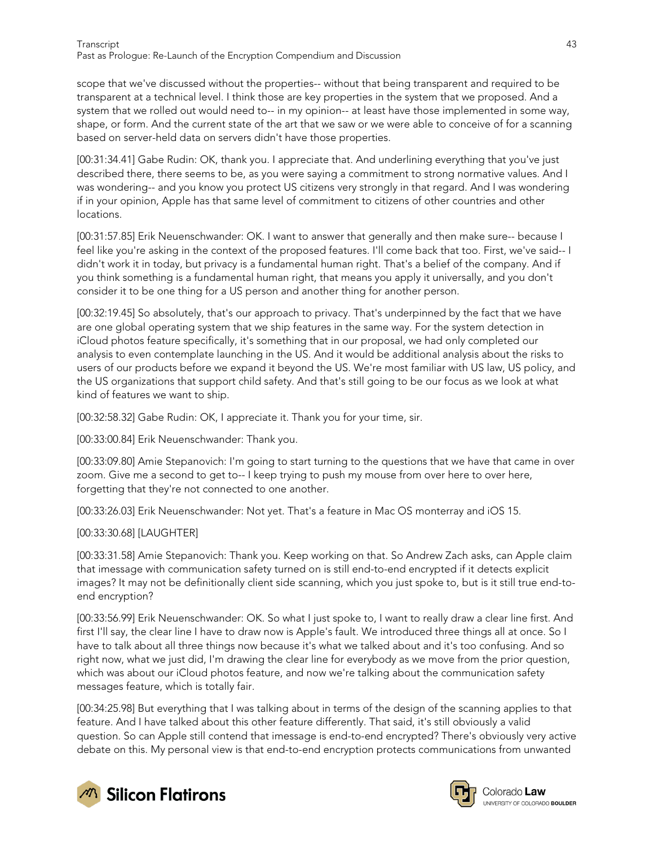Transcript 43 Past as Prologue: Re-Launch of the Encryption Compendium and Discussion

scope that we've discussed without the properties-- without that being transparent and required to be transparent at a technical level. I think those are key properties in the system that we proposed. And a system that we rolled out would need to-- in my opinion-- at least have those implemented in some way, shape, or form. And the current state of the art that we saw or we were able to conceive of for a scanning based on server-held data on servers didn't have those properties.

[00:31:34.41] Gabe Rudin: OK, thank you. I appreciate that. And underlining everything that you've just described there, there seems to be, as you were saying a commitment to strong normative values. And I was wondering-- and you know you protect US citizens very strongly in that regard. And I was wondering if in your opinion, Apple has that same level of commitment to citizens of other countries and other locations.

[00:31:57.85] Erik Neuenschwander: OK. I want to answer that generally and then make sure-- because I feel like you're asking in the context of the proposed features. I'll come back that too. First, we've said-- I didn't work it in today, but privacy is a fundamental human right. That's a belief of the company. And if you think something is a fundamental human right, that means you apply it universally, and you don't consider it to be one thing for a US person and another thing for another person.

[00:32:19.45] So absolutely, that's our approach to privacy. That's underpinned by the fact that we have are one global operating system that we ship features in the same way. For the system detection in iCloud photos feature specifically, it's something that in our proposal, we had only completed our analysis to even contemplate launching in the US. And it would be additional analysis about the risks to users of our products before we expand it beyond the US. We're most familiar with US law, US policy, and the US organizations that support child safety. And that's still going to be our focus as we look at what kind of features we want to ship.

[00:32:58.32] Gabe Rudin: OK, I appreciate it. Thank you for your time, sir.

[00:33:00.84] Erik Neuenschwander: Thank you.

[00:33:09.80] Amie Stepanovich: I'm going to start turning to the questions that we have that came in over zoom. Give me a second to get to-- I keep trying to push my mouse from over here to over here, forgetting that they're not connected to one another.

[00:33:26.03] Erik Neuenschwander: Not yet. That's a feature in Mac OS monterray and iOS 15.

## [00:33:30.68] [LAUGHTER]

[00:33:31.58] Amie Stepanovich: Thank you. Keep working on that. So Andrew Zach asks, can Apple claim that imessage with communication safety turned on is still end-to-end encrypted if it detects explicit images? It may not be definitionally client side scanning, which you just spoke to, but is it still true end-toend encryption?

[00:33:56.99] Erik Neuenschwander: OK. So what I just spoke to, I want to really draw a clear line first. And first I'll say, the clear line I have to draw now is Apple's fault. We introduced three things all at once. So I have to talk about all three things now because it's what we talked about and it's too confusing. And so right now, what we just did, I'm drawing the clear line for everybody as we move from the prior question, which was about our iCloud photos feature, and now we're talking about the communication safety messages feature, which is totally fair.

[00:34:25.98] But everything that I was talking about in terms of the design of the scanning applies to that feature. And I have talked about this other feature differently. That said, it's still obviously a valid question. So can Apple still contend that imessage is end-to-end encrypted? There's obviously very active debate on this. My personal view is that end-to-end encryption protects communications from unwanted



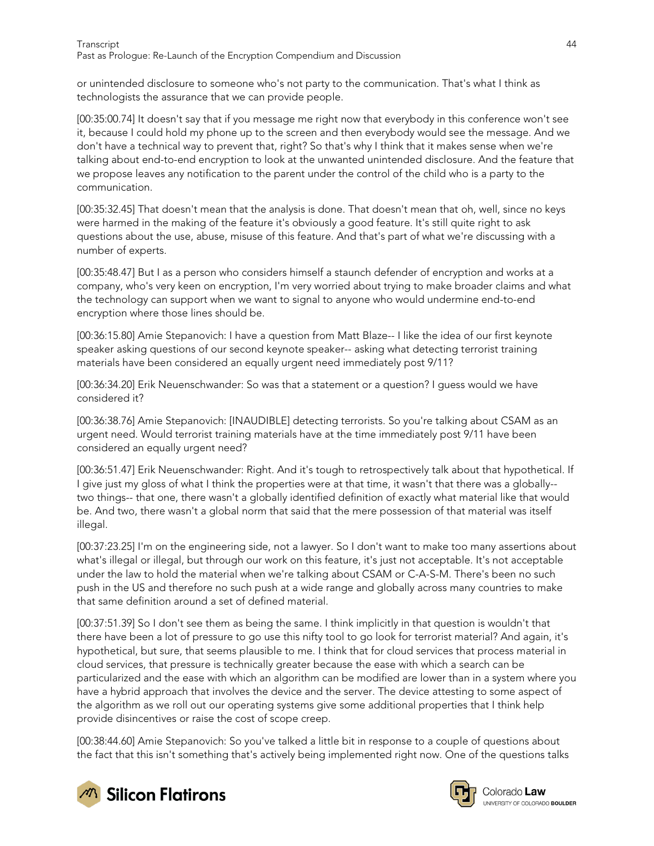or unintended disclosure to someone who's not party to the communication. That's what I think as technologists the assurance that we can provide people.

[00:35:00.74] It doesn't say that if you message me right now that everybody in this conference won't see it, because I could hold my phone up to the screen and then everybody would see the message. And we don't have a technical way to prevent that, right? So that's why I think that it makes sense when we're talking about end-to-end encryption to look at the unwanted unintended disclosure. And the feature that we propose leaves any notification to the parent under the control of the child who is a party to the communication.

[00:35:32.45] That doesn't mean that the analysis is done. That doesn't mean that oh, well, since no keys were harmed in the making of the feature it's obviously a good feature. It's still quite right to ask questions about the use, abuse, misuse of this feature. And that's part of what we're discussing with a number of experts.

[00:35:48.47] But I as a person who considers himself a staunch defender of encryption and works at a company, who's very keen on encryption, I'm very worried about trying to make broader claims and what the technology can support when we want to signal to anyone who would undermine end-to-end encryption where those lines should be.

[00:36:15.80] Amie Stepanovich: I have a question from Matt Blaze-- I like the idea of our first keynote speaker asking questions of our second keynote speaker-- asking what detecting terrorist training materials have been considered an equally urgent need immediately post 9/11?

[00:36:34.20] Erik Neuenschwander: So was that a statement or a question? I guess would we have considered it?

[00:36:38.76] Amie Stepanovich: [INAUDIBLE] detecting terrorists. So you're talking about CSAM as an urgent need. Would terrorist training materials have at the time immediately post 9/11 have been considered an equally urgent need?

[00:36:51.47] Erik Neuenschwander: Right. And it's tough to retrospectively talk about that hypothetical. If I give just my gloss of what I think the properties were at that time, it wasn't that there was a globally- two things-- that one, there wasn't a globally identified definition of exactly what material like that would be. And two, there wasn't a global norm that said that the mere possession of that material was itself illegal.

[00:37:23.25] I'm on the engineering side, not a lawyer. So I don't want to make too many assertions about what's illegal or illegal, but through our work on this feature, it's just not acceptable. It's not acceptable under the law to hold the material when we're talking about CSAM or C-A-S-M. There's been no such push in the US and therefore no such push at a wide range and globally across many countries to make that same definition around a set of defined material.

[00:37:51.39] So I don't see them as being the same. I think implicitly in that question is wouldn't that there have been a lot of pressure to go use this nifty tool to go look for terrorist material? And again, it's hypothetical, but sure, that seems plausible to me. I think that for cloud services that process material in cloud services, that pressure is technically greater because the ease with which a search can be particularized and the ease with which an algorithm can be modified are lower than in a system where you have a hybrid approach that involves the device and the server. The device attesting to some aspect of the algorithm as we roll out our operating systems give some additional properties that I think help provide disincentives or raise the cost of scope creep.

[00:38:44.60] Amie Stepanovich: So you've talked a little bit in response to a couple of questions about the fact that this isn't something that's actively being implemented right now. One of the questions talks



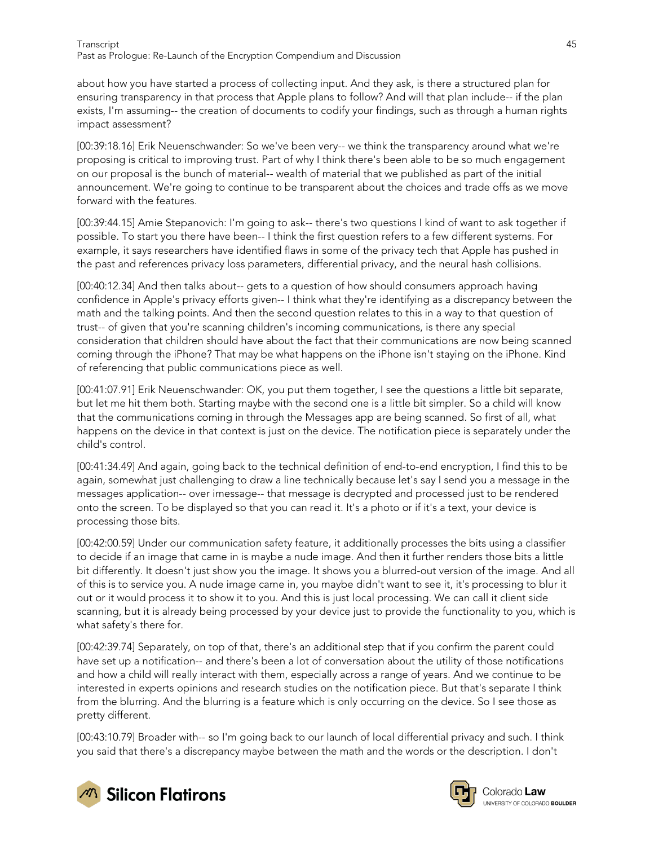about how you have started a process of collecting input. And they ask, is there a structured plan for ensuring transparency in that process that Apple plans to follow? And will that plan include-- if the plan exists, I'm assuming-- the creation of documents to codify your findings, such as through a human rights impact assessment?

[00:39:18.16] Erik Neuenschwander: So we've been very-- we think the transparency around what we're proposing is critical to improving trust. Part of why I think there's been able to be so much engagement on our proposal is the bunch of material-- wealth of material that we published as part of the initial announcement. We're going to continue to be transparent about the choices and trade offs as we move forward with the features.

[00:39:44.15] Amie Stepanovich: I'm going to ask-- there's two questions I kind of want to ask together if possible. To start you there have been-- I think the first question refers to a few different systems. For example, it says researchers have identified flaws in some of the privacy tech that Apple has pushed in the past and references privacy loss parameters, differential privacy, and the neural hash collisions.

[00:40:12.34] And then talks about-- gets to a question of how should consumers approach having confidence in Apple's privacy efforts given-- I think what they're identifying as a discrepancy between the math and the talking points. And then the second question relates to this in a way to that question of trust-- of given that you're scanning children's incoming communications, is there any special consideration that children should have about the fact that their communications are now being scanned coming through the iPhone? That may be what happens on the iPhone isn't staying on the iPhone. Kind of referencing that public communications piece as well.

[00:41:07.91] Erik Neuenschwander: OK, you put them together, I see the questions a little bit separate, but let me hit them both. Starting maybe with the second one is a little bit simpler. So a child will know that the communications coming in through the Messages app are being scanned. So first of all, what happens on the device in that context is just on the device. The notification piece is separately under the child's control.

[00:41:34.49] And again, going back to the technical definition of end-to-end encryption, I find this to be again, somewhat just challenging to draw a line technically because let's say I send you a message in the messages application-- over imessage-- that message is decrypted and processed just to be rendered onto the screen. To be displayed so that you can read it. It's a photo or if it's a text, your device is processing those bits.

[00:42:00.59] Under our communication safety feature, it additionally processes the bits using a classifier to decide if an image that came in is maybe a nude image. And then it further renders those bits a little bit differently. It doesn't just show you the image. It shows you a blurred-out version of the image. And all of this is to service you. A nude image came in, you maybe didn't want to see it, it's processing to blur it out or it would process it to show it to you. And this is just local processing. We can call it client side scanning, but it is already being processed by your device just to provide the functionality to you, which is what safety's there for.

[00:42:39.74] Separately, on top of that, there's an additional step that if you confirm the parent could have set up a notification-- and there's been a lot of conversation about the utility of those notifications and how a child will really interact with them, especially across a range of years. And we continue to be interested in experts opinions and research studies on the notification piece. But that's separate I think from the blurring. And the blurring is a feature which is only occurring on the device. So I see those as pretty different.

[00:43:10.79] Broader with-- so I'm going back to our launch of local differential privacy and such. I think you said that there's a discrepancy maybe between the math and the words or the description. I don't